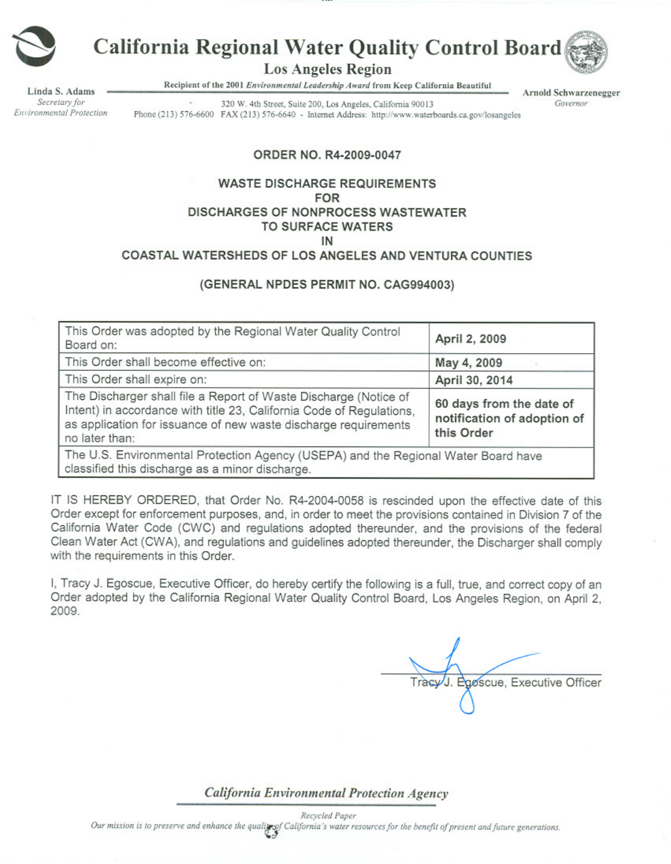

# California Regional Water Quality Control Board

**Los Angeles Region** 

Recipient of the 2001 Environmental Leadership Award from Keep California Beautiful

inda S. Adams Secretary for Environmental Protection

320 W. 4th Street, Suite 200, Los Angeles, California 90013 Phone (213) 576-6600 FAX (213) 576-6640 - Internet Address: http://www.waterboards.ca.gov/losangeles

Arnold Schwarzenegger Governor

ORDER NO. R4-2009-0047

#### **WASTE DISCHARGE REQUIREMENTS FOR DISCHARGES OF NONPROCESS WASTEWATER TO SURFACE WATERS** IN

# COASTAL WATERSHEDS OF LOS ANGELES AND VENTURA COUNTIES

#### (GENERAL NPDES PERMIT NO. CAG994003)

| This Order was adopted by the Regional Water Quality Control<br>Board on:                                                                                                                                                     | April 2, 2009                                                         |
|-------------------------------------------------------------------------------------------------------------------------------------------------------------------------------------------------------------------------------|-----------------------------------------------------------------------|
| This Order shall become effective on:                                                                                                                                                                                         | May 4, 2009                                                           |
| This Order shall expire on:                                                                                                                                                                                                   | April 30, 2014                                                        |
| The Discharger shall file a Report of Waste Discharge (Notice of<br>Intent) in accordance with title 23, California Code of Regulations,<br>as application for issuance of new waste discharge requirements<br>no later than: | 60 days from the date of<br>notification of adoption of<br>this Order |
| The U.S. Environmental Protection Agency (USEPA) and the Regional Water Board have<br>classified this discharge as a minor discharge.                                                                                         |                                                                       |

IT IS HEREBY ORDERED, that Order No. R4-2004-0058 is rescinded upon the effective date of this Order except for enforcement purposes, and, in order to meet the provisions contained in Division 7 of the California Water Code (CWC) and regulations adopted thereunder, and the provisions of the federal Clean Water Act (CWA), and regulations and guidelines adopted thereunder, the Discharger shall comply with the requirements in this Order.

I, Tracy J. Egoscue, Executive Officer, do hereby certify the following is a full, true, and correct copy of an Order adopted by the California Regional Water Quality Control Board, Los Angeles Region, on April 2, 2009.

Tracy J. Egoscue, Executive Officer

California Environmental Protection Agency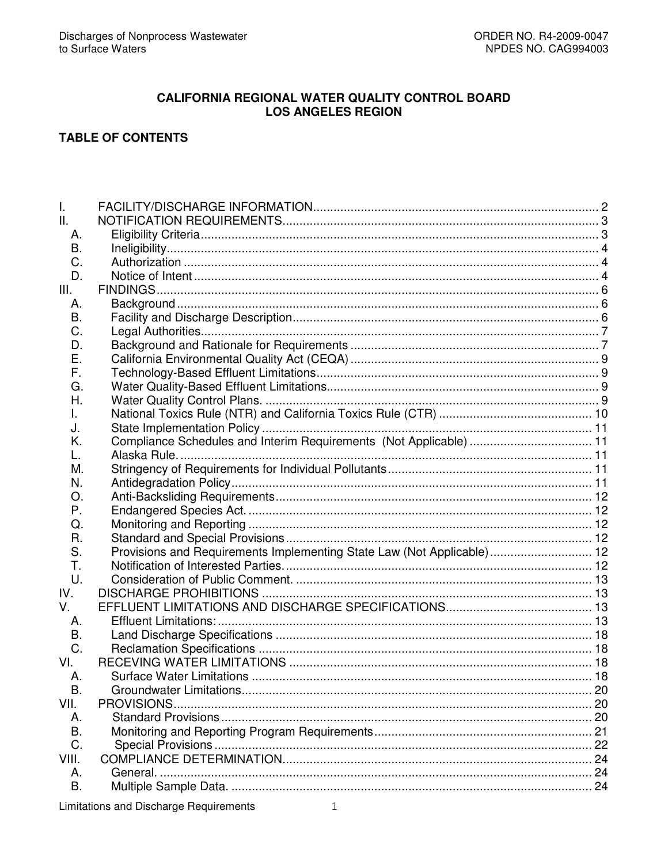## **CALIFORNIA REGIONAL WATER QUALITY CONTROL BOARD LOS ANGELES REGION**

# **TABLE OF CONTENTS**

| T.        |                                                                        |    |
|-----------|------------------------------------------------------------------------|----|
| II.       |                                                                        |    |
| А.        |                                                                        |    |
| В.        |                                                                        |    |
| C.        |                                                                        |    |
| D.        |                                                                        |    |
| III.      |                                                                        |    |
| А.        |                                                                        |    |
| Β.        |                                                                        |    |
| C.        |                                                                        |    |
| D.        |                                                                        |    |
| Е.        |                                                                        |    |
| F.        |                                                                        |    |
| G.        |                                                                        |    |
| Η.        |                                                                        |    |
| I.        |                                                                        |    |
| J.        |                                                                        |    |
| Κ.        | Compliance Schedules and Interim Requirements (Not Applicable)  11     |    |
| L.        |                                                                        |    |
| М.        |                                                                        |    |
| N.        |                                                                        |    |
| Ő.        |                                                                        |    |
| Р.        |                                                                        |    |
| Q.        |                                                                        |    |
| R.        |                                                                        |    |
| S.        | Provisions and Requirements Implementing State Law (Not Applicable) 12 |    |
| Τ.        |                                                                        |    |
| U.        |                                                                        |    |
| IV.       |                                                                        |    |
| V.        |                                                                        |    |
| Α.        |                                                                        |    |
| В.        |                                                                        |    |
| C.        |                                                                        |    |
| VI.       |                                                                        |    |
| А.        |                                                                        |    |
| В.        |                                                                        |    |
| VII.      | PROVISIONS.                                                            |    |
| А.        |                                                                        |    |
| B.        |                                                                        |    |
| C.        |                                                                        |    |
| VIII.     |                                                                        |    |
| А.        |                                                                        |    |
| <b>B.</b> |                                                                        | 24 |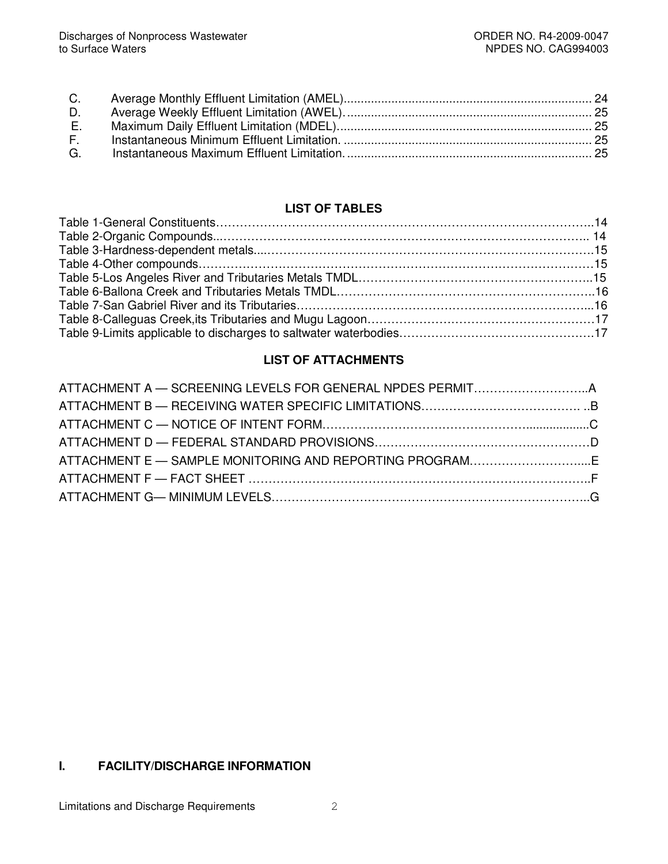| $E_{\rm{eff}}$ |  |
|----------------|--|
|                |  |
|                |  |
|                |  |

# **LIST OF TABLES**

# **LIST OF ATTACHMENTS**

# **I. FACILITY/DISCHARGE INFORMATION**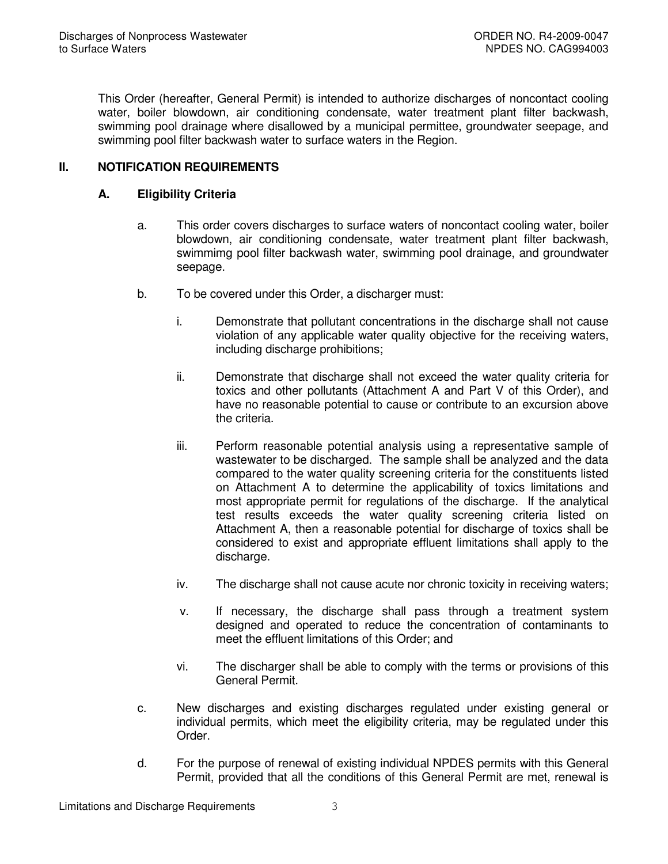This Order (hereafter, General Permit) is intended to authorize discharges of noncontact cooling water, boiler blowdown, air conditioning condensate, water treatment plant filter backwash, swimming pool drainage where disallowed by a municipal permittee, groundwater seepage, and swimming pool filter backwash water to surface waters in the Region.

# **II. NOTIFICATION REQUIREMENTS**

## **A. Eligibility Criteria**

- a. This order covers discharges to surface waters of noncontact cooling water, boiler blowdown, air conditioning condensate, water treatment plant filter backwash, swimmimg pool filter backwash water, swimming pool drainage, and groundwater seepage.
- b. To be covered under this Order, a discharger must:
	- i. Demonstrate that pollutant concentrations in the discharge shall not cause violation of any applicable water quality objective for the receiving waters, including discharge prohibitions;
	- ii. Demonstrate that discharge shall not exceed the water quality criteria for toxics and other pollutants (Attachment A and Part V of this Order), and have no reasonable potential to cause or contribute to an excursion above the criteria.
	- iii. Perform reasonable potential analysis using a representative sample of wastewater to be discharged. The sample shall be analyzed and the data compared to the water quality screening criteria for the constituents listed on Attachment A to determine the applicability of toxics limitations and most appropriate permit for regulations of the discharge. If the analytical test results exceeds the water quality screening criteria listed on Attachment A, then a reasonable potential for discharge of toxics shall be considered to exist and appropriate effluent limitations shall apply to the discharge.
	- iv. The discharge shall not cause acute nor chronic toxicity in receiving waters;
	- v. If necessary, the discharge shall pass through a treatment system designed and operated to reduce the concentration of contaminants to meet the effluent limitations of this Order; and
	- vi. The discharger shall be able to comply with the terms or provisions of this General Permit.
- c. New discharges and existing discharges regulated under existing general or individual permits, which meet the eligibility criteria, may be regulated under this Order.
- d. For the purpose of renewal of existing individual NPDES permits with this General Permit, provided that all the conditions of this General Permit are met, renewal is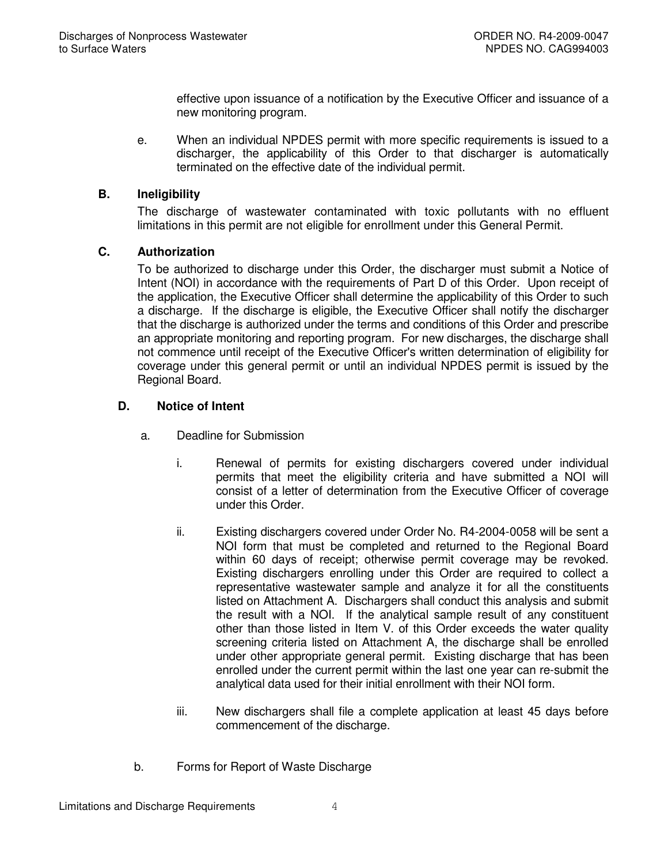effective upon issuance of a notification by the Executive Officer and issuance of a new monitoring program.

e. When an individual NPDES permit with more specific requirements is issued to a discharger, the applicability of this Order to that discharger is automatically terminated on the effective date of the individual permit.

# **B. Ineligibility**

The discharge of wastewater contaminated with toxic pollutants with no effluent limitations in this permit are not eligible for enrollment under this General Permit.

# **C. Authorization**

To be authorized to discharge under this Order, the discharger must submit a Notice of Intent (NOI) in accordance with the requirements of Part D of this Order. Upon receipt of the application, the Executive Officer shall determine the applicability of this Order to such a discharge. If the discharge is eligible, the Executive Officer shall notify the discharger that the discharge is authorized under the terms and conditions of this Order and prescribe an appropriate monitoring and reporting program. For new discharges, the discharge shall not commence until receipt of the Executive Officer's written determination of eligibility for coverage under this general permit or until an individual NPDES permit is issued by the Regional Board.

# **D. Notice of Intent**

- a. Deadline for Submission
	- i. Renewal of permits for existing dischargers covered under individual permits that meet the eligibility criteria and have submitted a NOI will consist of a letter of determination from the Executive Officer of coverage under this Order.
	- ii. Existing dischargers covered under Order No. R4-2004-0058 will be sent a NOI form that must be completed and returned to the Regional Board within 60 days of receipt; otherwise permit coverage may be revoked. Existing dischargers enrolling under this Order are required to collect a representative wastewater sample and analyze it for all the constituents listed on Attachment A. Dischargers shall conduct this analysis and submit the result with a NOI. If the analytical sample result of any constituent other than those listed in Item V. of this Order exceeds the water quality screening criteria listed on Attachment A, the discharge shall be enrolled under other appropriate general permit. Existing discharge that has been enrolled under the current permit within the last one year can re-submit the analytical data used for their initial enrollment with their NOI form.
	- iii. New dischargers shall file a complete application at least 45 days before commencement of the discharge.
- b. Forms for Report of Waste Discharge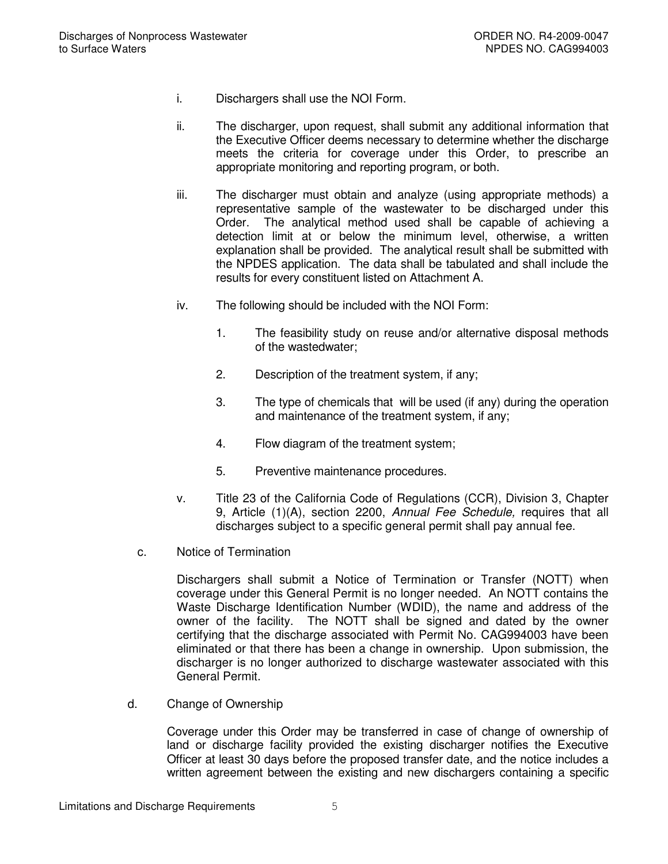- i. Dischargers shall use the NOI Form.
- ii. The discharger, upon request, shall submit any additional information that the Executive Officer deems necessary to determine whether the discharge meets the criteria for coverage under this Order, to prescribe an appropriate monitoring and reporting program, or both.
- iii. The discharger must obtain and analyze (using appropriate methods) a representative sample of the wastewater to be discharged under this Order. The analytical method used shall be capable of achieving a detection limit at or below the minimum level, otherwise, a written explanation shall be provided. The analytical result shall be submitted with the NPDES application. The data shall be tabulated and shall include the results for every constituent listed on Attachment A.
- iv. The following should be included with the NOI Form:
	- 1. The feasibility study on reuse and/or alternative disposal methods of the wastedwater;
	- 2. Description of the treatment system, if any;
	- 3. The type of chemicals that will be used (if any) during the operation and maintenance of the treatment system, if any;
	- 4. Flow diagram of the treatment system;
	- 5. Preventive maintenance procedures.
- v. Title 23 of the California Code of Regulations (CCR), Division 3, Chapter 9, Article (1)(A), section 2200, *Annual Fee Schedule,* requires that all discharges subject to a specific general permit shall pay annual fee.
- c. Notice of Termination

Dischargers shall submit a Notice of Termination or Transfer (NOTT) when coverage under this General Permit is no longer needed. An NOTT contains the Waste Discharge Identification Number (WDID), the name and address of the owner of the facility. The NOTT shall be signed and dated by the owner certifying that the discharge associated with Permit No. CAG994003 have been eliminated or that there has been a change in ownership. Upon submission, the discharger is no longer authorized to discharge wastewater associated with this General Permit.

d. Change of Ownership

Coverage under this Order may be transferred in case of change of ownership of land or discharge facility provided the existing discharger notifies the Executive Officer at least 30 days before the proposed transfer date, and the notice includes a written agreement between the existing and new dischargers containing a specific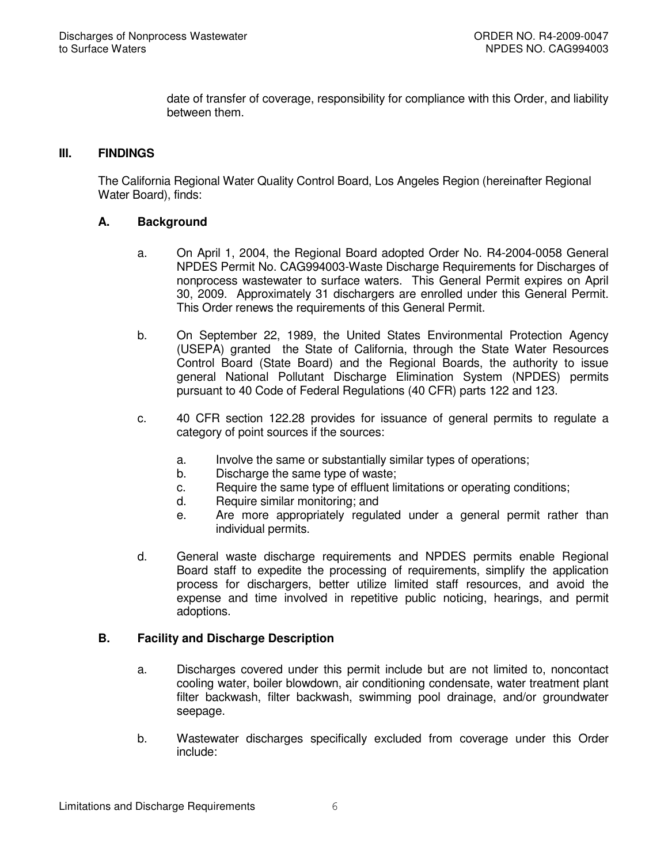date of transfer of coverage, responsibility for compliance with this Order, and liability between them.

## **III. FINDINGS**

The California Regional Water Quality Control Board, Los Angeles Region (hereinafter Regional Water Board), finds:

#### **A. Background**

- a. On April 1, 2004, the Regional Board adopted Order No. R4-2004-0058 General NPDES Permit No. CAG994003-Waste Discharge Requirements for Discharges of nonprocess wastewater to surface waters. This General Permit expires on April 30, 2009. Approximately 31 dischargers are enrolled under this General Permit. This Order renews the requirements of this General Permit.
- b. On September 22, 1989, the United States Environmental Protection Agency (USEPA) granted the State of California, through the State Water Resources Control Board (State Board) and the Regional Boards, the authority to issue general National Pollutant Discharge Elimination System (NPDES) permits pursuant to 40 Code of Federal Regulations (40 CFR) parts 122 and 123.
- c. 40 CFR section 122.28 provides for issuance of general permits to regulate a category of point sources if the sources:
	- a. Involve the same or substantially similar types of operations;
	- b. Discharge the same type of waste;
	- c. Require the same type of effluent limitations or operating conditions;
	- d. Require similar monitoring; and
	- e. Are more appropriately regulated under a general permit rather than individual permits.
- d. General waste discharge requirements and NPDES permits enable Regional Board staff to expedite the processing of requirements, simplify the application process for dischargers, better utilize limited staff resources, and avoid the expense and time involved in repetitive public noticing, hearings, and permit adoptions.

## **B. Facility and Discharge Description**

- a. Discharges covered under this permit include but are not limited to, noncontact cooling water, boiler blowdown, air conditioning condensate, water treatment plant filter backwash, filter backwash, swimming pool drainage, and/or groundwater seepage.
- b. Wastewater discharges specifically excluded from coverage under this Order include: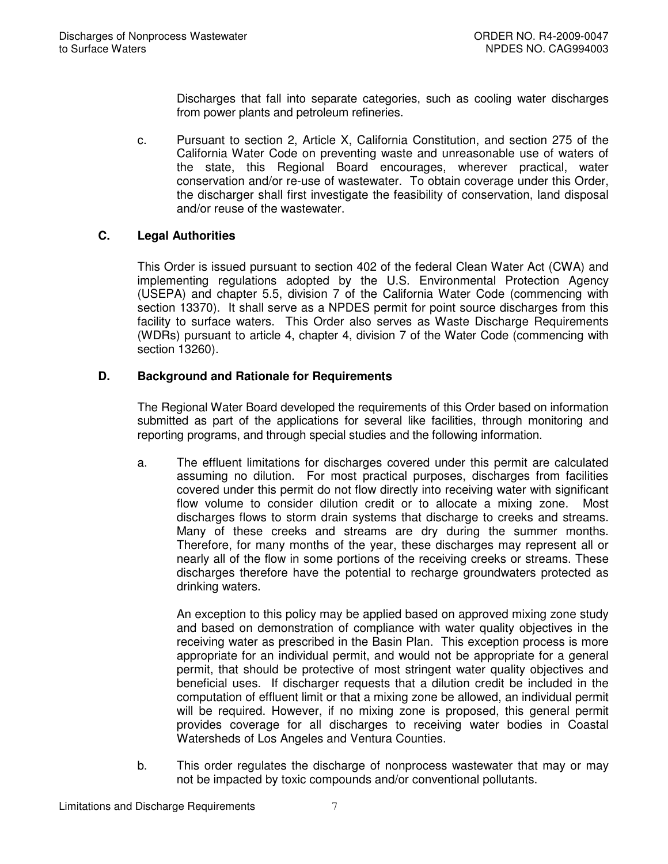Discharges that fall into separate categories, such as cooling water discharges from power plants and petroleum refineries.

c. Pursuant to section 2, Article X, California Constitution, and section 275 of the California Water Code on preventing waste and unreasonable use of waters of the state, this Regional Board encourages, wherever practical, water conservation and/or re-use of wastewater. To obtain coverage under this Order, the discharger shall first investigate the feasibility of conservation, land disposal and/or reuse of the wastewater.

# **C. Legal Authorities**

This Order is issued pursuant to section 402 of the federal Clean Water Act (CWA) and implementing regulations adopted by the U.S. Environmental Protection Agency (USEPA) and chapter 5.5, division 7 of the California Water Code (commencing with section 13370). It shall serve as a NPDES permit for point source discharges from this facility to surface waters. This Order also serves as Waste Discharge Requirements (WDRs) pursuant to article 4, chapter 4, division 7 of the Water Code (commencing with section 13260).

# **D. Background and Rationale for Requirements**

The Regional Water Board developed the requirements of this Order based on information submitted as part of the applications for several like facilities, through monitoring and reporting programs, and through special studies and the following information.

a. The effluent limitations for discharges covered under this permit are calculated assuming no dilution. For most practical purposes, discharges from facilities covered under this permit do not flow directly into receiving water with significant flow volume to consider dilution credit or to allocate a mixing zone. Most discharges flows to storm drain systems that discharge to creeks and streams. Many of these creeks and streams are dry during the summer months. Therefore, for many months of the year, these discharges may represent all or nearly all of the flow in some portions of the receiving creeks or streams. These discharges therefore have the potential to recharge groundwaters protected as drinking waters.

An exception to this policy may be applied based on approved mixing zone study and based on demonstration of compliance with water quality objectives in the receiving water as prescribed in the Basin Plan. This exception process is more appropriate for an individual permit, and would not be appropriate for a general permit, that should be protective of most stringent water quality objectives and beneficial uses. If discharger requests that a dilution credit be included in the computation of effluent limit or that a mixing zone be allowed, an individual permit will be required. However, if no mixing zone is proposed, this general permit provides coverage for all discharges to receiving water bodies in Coastal Watersheds of Los Angeles and Ventura Counties.

b. This order regulates the discharge of nonprocess wastewater that may or may not be impacted by toxic compounds and/or conventional pollutants.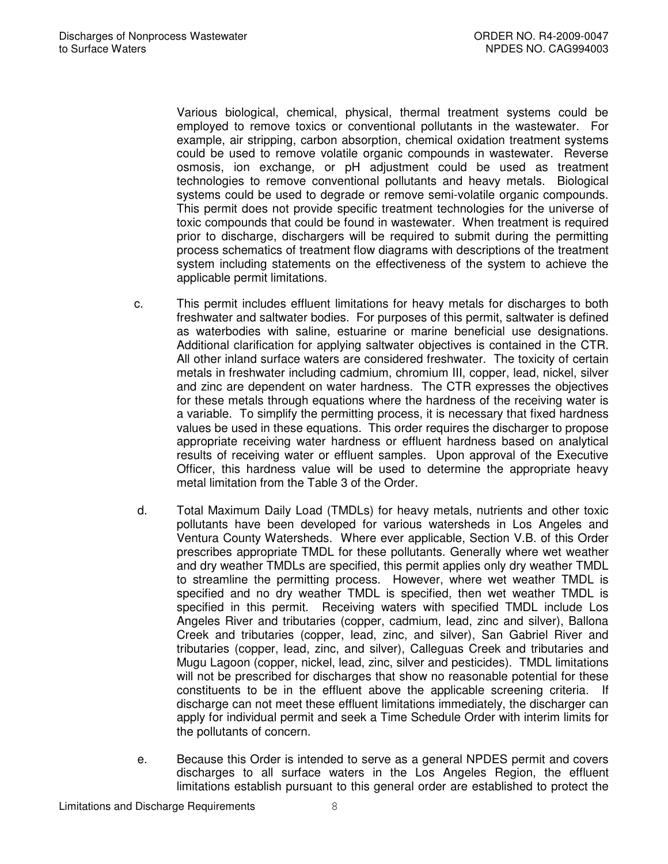Various biological, chemical, physical, thermal treatment systems could be employed to remove toxics or conventional pollutants in the wastewater. For example, air stripping, carbon absorption, chemical oxidation treatment systems could be used to remove volatile organic compounds in wastewater. Reverse osmosis, ion exchange, or pH adjustment could be used as treatment technologies to remove conventional pollutants and heavy metals. Biological systems could be used to degrade or remove semi-volatile organic compounds. This permit does not provide specific treatment technologies for the universe of toxic compounds that could be found in wastewater. When treatment is required prior to discharge, dischargers will be required to submit during the permitting process schematics of treatment flow diagrams with descriptions of the treatment system including statements on the effectiveness of the system to achieve the applicable permit limitations.

- c. This permit includes effluent limitations for heavy metals for discharges to both freshwater and saltwater bodies. For purposes of this permit, saltwater is defined as waterbodies with saline, estuarine or marine beneficial use designations. Additional clarification for applying saltwater objectives is contained in the CTR. All other inland surface waters are considered freshwater. The toxicity of certain metals in freshwater including cadmium, chromium III, copper, lead, nickel, silver and zinc are dependent on water hardness. The CTR expresses the objectives for these metals through equations where the hardness of the receiving water is a variable. To simplify the permitting process, it is necessary that fixed hardness values be used in these equations. This order requires the discharger to propose appropriate receiving water hardness or effluent hardness based on analytical results of receiving water or effluent samples. Upon approval of the Executive Officer, this hardness value will be used to determine the appropriate heavy metal limitation from the Table 3 of the Order.
- d. Total Maximum Daily Load (TMDLs) for heavy metals, nutrients and other toxic pollutants have been developed for various watersheds in Los Angeles and Ventura County Watersheds. Where ever applicable, Section V.B. of this Order prescribes appropriate TMDL for these pollutants. Generally where wet weather and dry weather TMDLs are specified, this permit applies only dry weather TMDL to streamline the permitting process. However, where wet weather TMDL is specified and no dry weather TMDL is specified, then wet weather TMDL is specified in this permit. Receiving waters with specified TMDL include Los Angeles River and tributaries (copper, cadmium, lead, zinc and silver), Ballona Creek and tributaries (copper, lead, zinc, and silver), San Gabriel River and tributaries (copper, lead, zinc, and silver), Calleguas Creek and tributaries and Mugu Lagoon (copper, nickel, lead, zinc, silver and pesticides). TMDL limitations will not be prescribed for discharges that show no reasonable potential for these constituents to be in the effluent above the applicable screening criteria. If discharge can not meet these effluent limitations immediately, the discharger can apply for individual permit and seek a Time Schedule Order with interim limits for the pollutants of concern.
- e. Because this Order is intended to serve as a general NPDES permit and covers discharges to all surface waters in the Los Angeles Region, the effluent limitations establish pursuant to this general order are established to protect the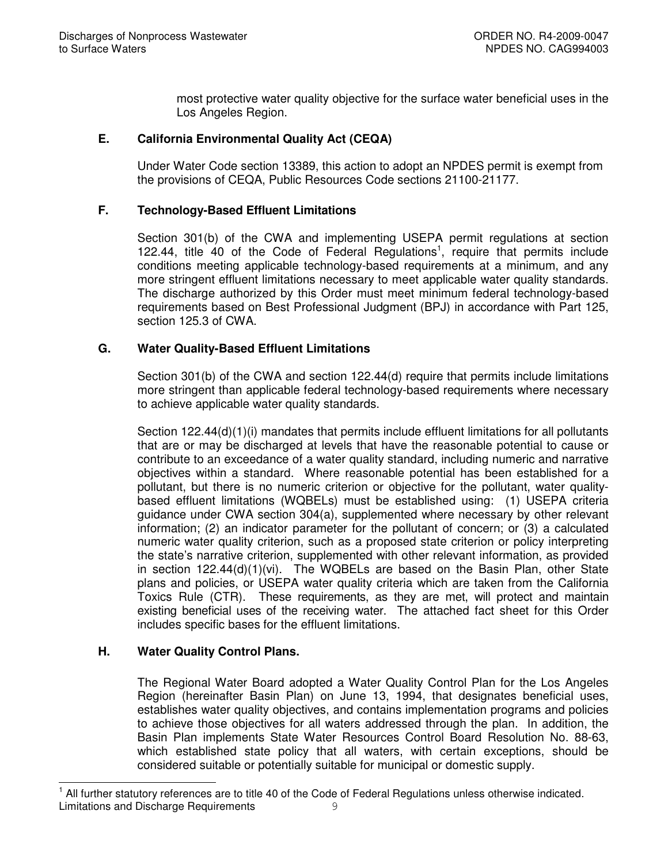most protective water quality objective for the surface water beneficial uses in the Los Angeles Region.

## **E. California Environmental Quality Act (CEQA)**

Under Water Code section 13389, this action to adopt an NPDES permit is exempt from the provisions of CEQA, Public Resources Code sections 21100-21177.

## **F. Technology-Based Effluent Limitations**

Section 301(b) of the CWA and implementing USEPA permit regulations at section 122.44, title 40 of the Code of Federal Regulations<sup>1</sup>, require that permits include conditions meeting applicable technology-based requirements at a minimum, and any more stringent effluent limitations necessary to meet applicable water quality standards. The discharge authorized by this Order must meet minimum federal technology-based requirements based on Best Professional Judgment (BPJ) in accordance with Part 125, section 125.3 of CWA.

# **G. Water Quality-Based Effluent Limitations**

Section 301(b) of the CWA and section 122.44(d) require that permits include limitations more stringent than applicable federal technology-based requirements where necessary to achieve applicable water quality standards.

Section 122.44(d)(1)(i) mandates that permits include effluent limitations for all pollutants that are or may be discharged at levels that have the reasonable potential to cause or contribute to an exceedance of a water quality standard, including numeric and narrative objectives within a standard. Where reasonable potential has been established for a pollutant, but there is no numeric criterion or objective for the pollutant, water qualitybased effluent limitations (WQBELs) must be established using: (1) USEPA criteria guidance under CWA section 304(a), supplemented where necessary by other relevant information; (2) an indicator parameter for the pollutant of concern; or (3) a calculated numeric water quality criterion, such as a proposed state criterion or policy interpreting the state's narrative criterion, supplemented with other relevant information, as provided in section 122.44(d)(1)(vi). The WQBELs are based on the Basin Plan, other State plans and policies, or USEPA water quality criteria which are taken from the California Toxics Rule (CTR). These requirements, as they are met, will protect and maintain existing beneficial uses of the receiving water. The attached fact sheet for this Order includes specific bases for the effluent limitations.

## **H. Water Quality Control Plans.**

The Regional Water Board adopted a Water Quality Control Plan for the Los Angeles Region (hereinafter Basin Plan) on June 13, 1994, that designates beneficial uses, establishes water quality objectives, and contains implementation programs and policies to achieve those objectives for all waters addressed through the plan. In addition, the Basin Plan implements State Water Resources Control Board Resolution No. 88-63, which established state policy that all waters, with certain exceptions, should be considered suitable or potentially suitable for municipal or domestic supply.

Limitations and Discharge Requirements 9 1 All further statutory references are to title 40 of the Code of Federal Regulations unless otherwise indicated.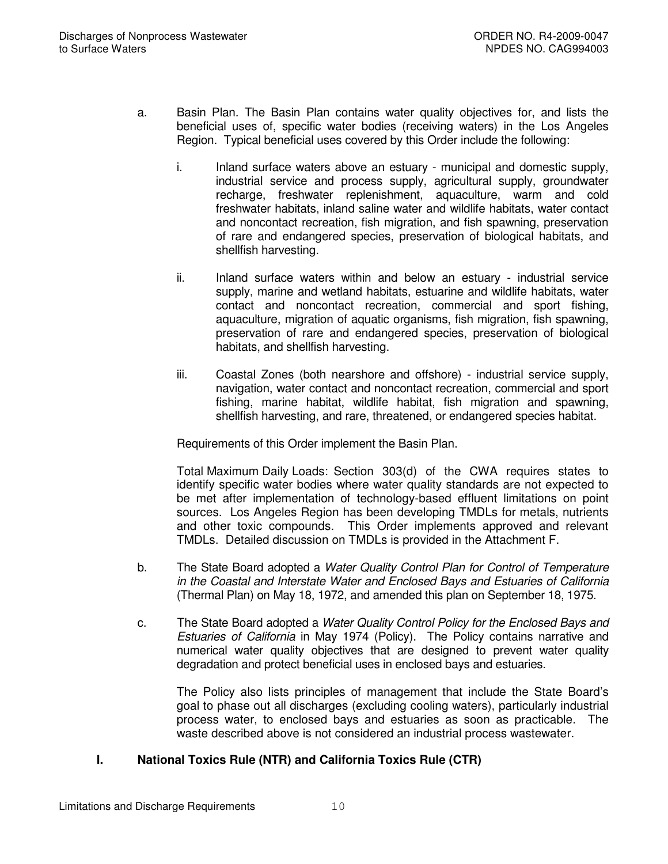- a. Basin Plan. The Basin Plan contains water quality objectives for, and lists the beneficial uses of, specific water bodies (receiving waters) in the Los Angeles Region. Typical beneficial uses covered by this Order include the following:
	- i. Inland surface waters above an estuary municipal and domestic supply, industrial service and process supply, agricultural supply, groundwater recharge, freshwater replenishment, aquaculture, warm and cold freshwater habitats, inland saline water and wildlife habitats, water contact and noncontact recreation, fish migration, and fish spawning, preservation of rare and endangered species, preservation of biological habitats, and shellfish harvesting.
	- ii. Inland surface waters within and below an estuary industrial service supply, marine and wetland habitats, estuarine and wildlife habitats, water contact and noncontact recreation, commercial and sport fishing, aquaculture, migration of aquatic organisms, fish migration, fish spawning, preservation of rare and endangered species, preservation of biological habitats, and shellfish harvesting.
	- iii. Coastal Zones (both nearshore and offshore) industrial service supply, navigation, water contact and noncontact recreation, commercial and sport fishing, marine habitat, wildlife habitat, fish migration and spawning, shellfish harvesting, and rare, threatened, or endangered species habitat.

Requirements of this Order implement the Basin Plan.

Total Maximum Daily Loads: Section 303(d) of the CWA requires states to identify specific water bodies where water quality standards are not expected to be met after implementation of technology-based effluent limitations on point sources. Los Angeles Region has been developing TMDLs for metals, nutrients and other toxic compounds. This Order implements approved and relevant TMDLs. Detailed discussion on TMDLs is provided in the Attachment F.

- b. The State Board adopted a *Water Quality Control Plan for Control of Temperature in the Coastal and Interstate Water and Enclosed Bays and Estuaries of California* (Thermal Plan) on May 18, 1972, and amended this plan on September 18, 1975.
- c. The State Board adopted a *Water Quality Control Policy for the Enclosed Bays and Estuaries of California* in May 1974 (Policy). The Policy contains narrative and numerical water quality objectives that are designed to prevent water quality degradation and protect beneficial uses in enclosed bays and estuaries.

The Policy also lists principles of management that include the State Board's goal to phase out all discharges (excluding cooling waters), particularly industrial process water, to enclosed bays and estuaries as soon as practicable. The waste described above is not considered an industrial process wastewater.

## **I. National Toxics Rule (NTR) and California Toxics Rule (CTR)**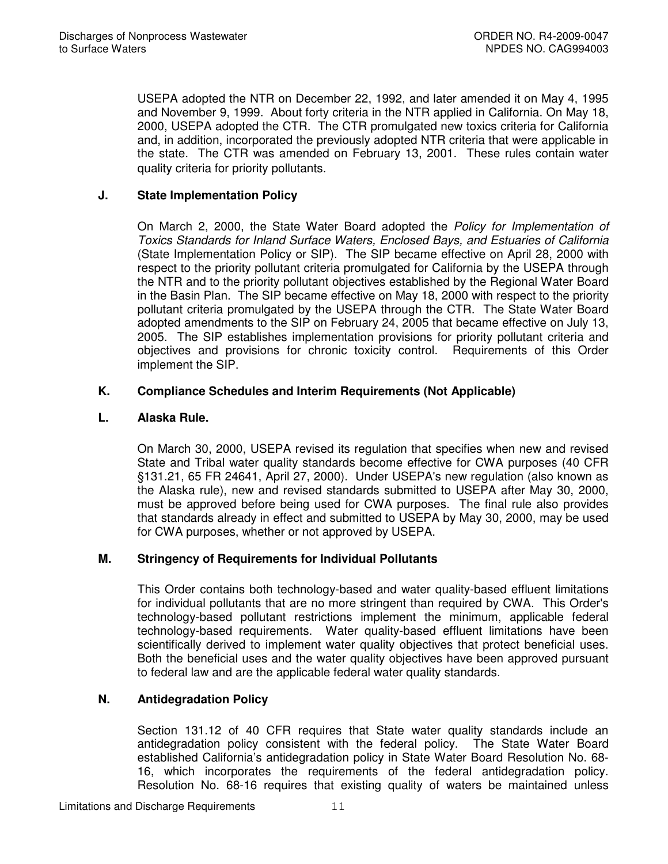USEPA adopted the NTR on December 22, 1992, and later amended it on May 4, 1995 and November 9, 1999. About forty criteria in the NTR applied in California. On May 18, 2000, USEPA adopted the CTR. The CTR promulgated new toxics criteria for California and, in addition, incorporated the previously adopted NTR criteria that were applicable in the state. The CTR was amended on February 13, 2001. These rules contain water quality criteria for priority pollutants.

# **J. State Implementation Policy**

On March 2, 2000, the State Water Board adopted the *Policy for Implementation of Toxics Standards for Inland Surface Waters, Enclosed Bays, and Estuaries of California* (State Implementation Policy or SIP). The SIP became effective on April 28, 2000 with respect to the priority pollutant criteria promulgated for California by the USEPA through the NTR and to the priority pollutant objectives established by the Regional Water Board in the Basin Plan. The SIP became effective on May 18, 2000 with respect to the priority pollutant criteria promulgated by the USEPA through the CTR. The State Water Board adopted amendments to the SIP on February 24, 2005 that became effective on July 13, 2005. The SIP establishes implementation provisions for priority pollutant criteria and objectives and provisions for chronic toxicity control. Requirements of this Order implement the SIP.

# **K. Compliance Schedules and Interim Requirements (Not Applicable)**

# **L. Alaska Rule.**

On March 30, 2000, USEPA revised its regulation that specifies when new and revised State and Tribal water quality standards become effective for CWA purposes (40 CFR §131.21, 65 FR 24641, April 27, 2000). Under USEPA's new regulation (also known as the Alaska rule), new and revised standards submitted to USEPA after May 30, 2000, must be approved before being used for CWA purposes. The final rule also provides that standards already in effect and submitted to USEPA by May 30, 2000, may be used for CWA purposes, whether or not approved by USEPA.

## **M. Stringency of Requirements for Individual Pollutants**

This Order contains both technology-based and water quality-based effluent limitations for individual pollutants that are no more stringent than required by CWA. This Order's technology-based pollutant restrictions implement the minimum, applicable federal technology-based requirements. Water quality-based effluent limitations have been scientifically derived to implement water quality objectives that protect beneficial uses. Both the beneficial uses and the water quality objectives have been approved pursuant to federal law and are the applicable federal water quality standards.

# **N. Antidegradation Policy**

Section 131.12 of 40 CFR requires that State water quality standards include an antidegradation policy consistent with the federal policy. The State Water Board established California's antidegradation policy in State Water Board Resolution No. 68- 16, which incorporates the requirements of the federal antidegradation policy. Resolution No. 68-16 requires that existing quality of waters be maintained unless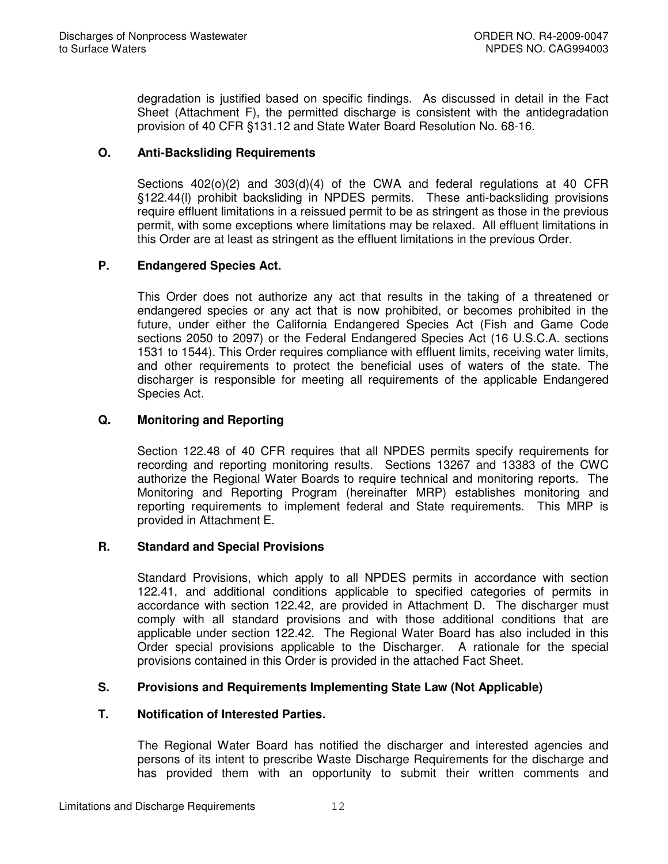degradation is justified based on specific findings. As discussed in detail in the Fact Sheet (Attachment F), the permitted discharge is consistent with the antidegradation provision of 40 CFR §131.12 and State Water Board Resolution No. 68-16.

# **O. Anti-Backsliding Requirements**

Sections  $402(0)(2)$  and  $303(d)(4)$  of the CWA and federal regulations at 40 CFR §122.44(l) prohibit backsliding in NPDES permits. These anti-backsliding provisions require effluent limitations in a reissued permit to be as stringent as those in the previous permit, with some exceptions where limitations may be relaxed. All effluent limitations in this Order are at least as stringent as the effluent limitations in the previous Order.

# **P. Endangered Species Act.**

This Order does not authorize any act that results in the taking of a threatened or endangered species or any act that is now prohibited, or becomes prohibited in the future, under either the California Endangered Species Act (Fish and Game Code sections 2050 to 2097) or the Federal Endangered Species Act (16 U.S.C.A. sections 1531 to 1544). This Order requires compliance with effluent limits, receiving water limits, and other requirements to protect the beneficial uses of waters of the state. The discharger is responsible for meeting all requirements of the applicable Endangered Species Act.

# **Q. Monitoring and Reporting**

Section 122.48 of 40 CFR requires that all NPDES permits specify requirements for recording and reporting monitoring results. Sections 13267 and 13383 of the CWC authorize the Regional Water Boards to require technical and monitoring reports. The Monitoring and Reporting Program (hereinafter MRP) establishes monitoring and reporting requirements to implement federal and State requirements. This MRP is provided in Attachment E.

## **R. Standard and Special Provisions**

Standard Provisions, which apply to all NPDES permits in accordance with section 122.41, and additional conditions applicable to specified categories of permits in accordance with section 122.42, are provided in Attachment D. The discharger must comply with all standard provisions and with those additional conditions that are applicable under section 122.42. The Regional Water Board has also included in this Order special provisions applicable to the Discharger. A rationale for the special provisions contained in this Order is provided in the attached Fact Sheet.

## **S. Provisions and Requirements Implementing State Law (Not Applicable)**

## **T. Notification of Interested Parties.**

The Regional Water Board has notified the discharger and interested agencies and persons of its intent to prescribe Waste Discharge Requirements for the discharge and has provided them with an opportunity to submit their written comments and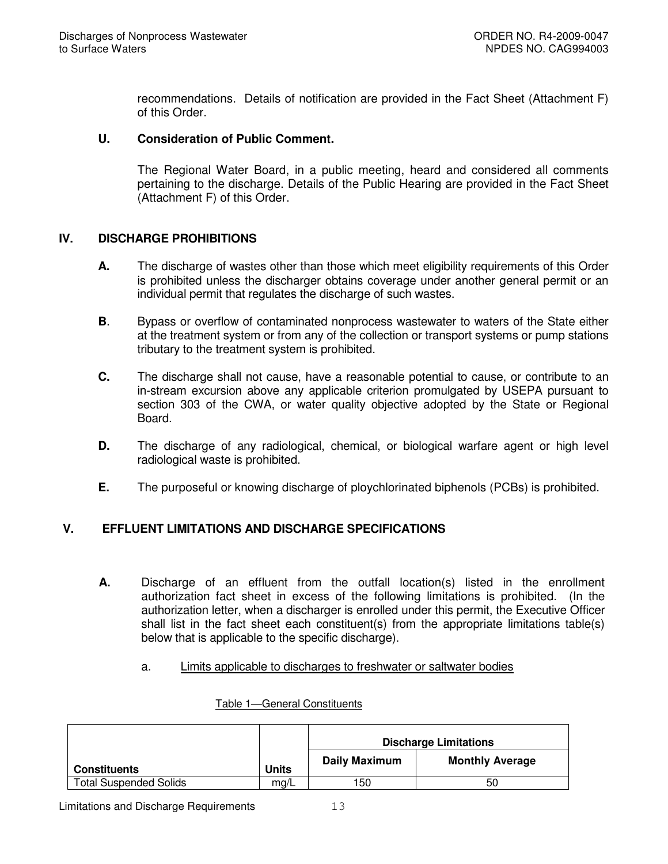recommendations. Details of notification are provided in the Fact Sheet (Attachment F) of this Order.

#### **U. Consideration of Public Comment.**

The Regional Water Board, in a public meeting, heard and considered all comments pertaining to the discharge. Details of the Public Hearing are provided in the Fact Sheet (Attachment F) of this Order.

## **IV. DISCHARGE PROHIBITIONS**

- **A.** The discharge of wastes other than those which meet eligibility requirements of this Order is prohibited unless the discharger obtains coverage under another general permit or an individual permit that regulates the discharge of such wastes.
- **B**. Bypass or overflow of contaminated nonprocess wastewater to waters of the State either at the treatment system or from any of the collection or transport systems or pump stations tributary to the treatment system is prohibited.
- **C.** The discharge shall not cause, have a reasonable potential to cause, or contribute to an in-stream excursion above any applicable criterion promulgated by USEPA pursuant to section 303 of the CWA, or water quality objective adopted by the State or Regional Board.
- **D.** The discharge of any radiological, chemical, or biological warfare agent or high level radiological waste is prohibited.
- **E.** The purposeful or knowing discharge of ploychlorinated biphenols (PCBs) is prohibited.

## **V. EFFLUENT LIMITATIONS AND DISCHARGE SPECIFICATIONS**

- **A.** Discharge of an effluent from the outfall location(s) listed in the enrollment authorization fact sheet in excess of the following limitations is prohibited. (In the authorization letter, when a discharger is enrolled under this permit, the Executive Officer shall list in the fact sheet each constituent(s) from the appropriate limitations table(s) below that is applicable to the specific discharge).
	- a. Limits applicable to discharges to freshwater or saltwater bodies

|                               |              |                      | <b>Discharge Limitations</b> |
|-------------------------------|--------------|----------------------|------------------------------|
| <b>Constituents</b>           | <b>Units</b> | <b>Daily Maximum</b> | <b>Monthly Average</b>       |
| <b>Total Suspended Solids</b> | mg/L         | 150                  | 50                           |

#### Table 1—General Constituents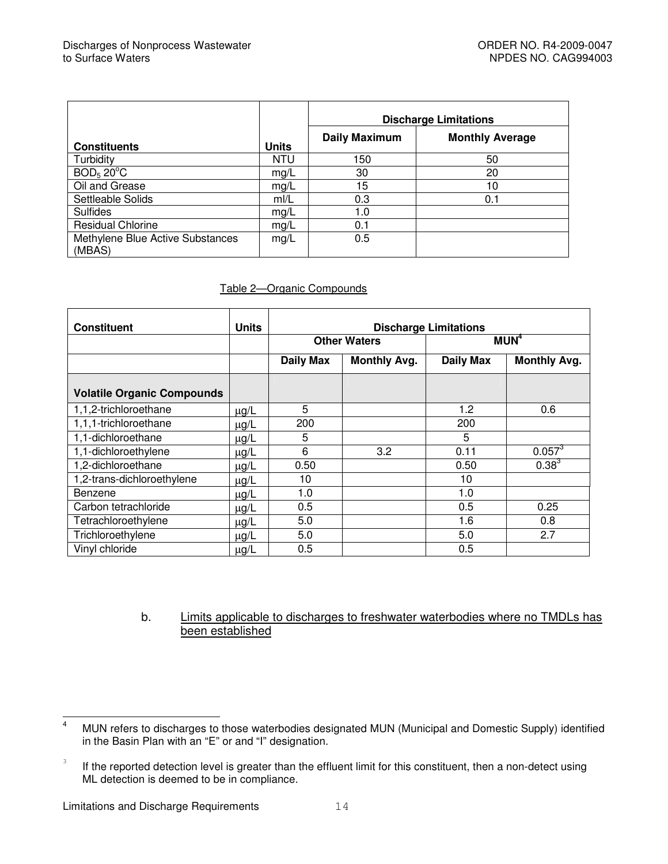|                                            |              |                      | <b>Discharge Limitations</b> |
|--------------------------------------------|--------------|----------------------|------------------------------|
| <b>Constituents</b>                        | <b>Units</b> | <b>Daily Maximum</b> | <b>Monthly Average</b>       |
| Turbidity                                  | <b>NTU</b>   | 150                  | 50                           |
| BOD <sub>5</sub> 20 <sup>o</sup> C         | mg/L         | 30                   | 20                           |
| Oil and Grease                             | mg/L         | 15 <sub>15</sub>     | 10                           |
| Settleable Solids                          | mI/L         | 0.3                  | 0.1                          |
| <b>Sulfides</b>                            | mg/L         | 1.0                  |                              |
| <b>Residual Chlorine</b>                   | mg/L         | 0.1                  |                              |
| Methylene Blue Active Substances<br>(MBAS) | mg/L         | 0.5                  |                              |

#### Table 2—Organic Compounds

| <b>Constituent</b>                | <b>Units</b> | <b>Discharge Limitations</b> |                                                                |      |                  |  |  |  |  |
|-----------------------------------|--------------|------------------------------|----------------------------------------------------------------|------|------------------|--|--|--|--|
|                                   |              |                              | <b>Other Waters</b>                                            |      | MUN <sup>4</sup> |  |  |  |  |
|                                   |              | <b>Daily Max</b>             | <b>Monthly Avg.</b><br><b>Monthly Avg.</b><br><b>Daily Max</b> |      |                  |  |  |  |  |
| <b>Volatile Organic Compounds</b> |              |                              |                                                                |      |                  |  |  |  |  |
| 1,1,2-trichloroethane             | $\mu$ g/L    | 5                            |                                                                | 1.2  | 0.6              |  |  |  |  |
| 1,1,1-trichloroethane             | $\mu$ g/L    | 200                          |                                                                | 200  |                  |  |  |  |  |
| 1,1-dichloroethane                | $\mu$ g/L    | 5                            |                                                                | 5    |                  |  |  |  |  |
| 1,1-dichloroethylene              | $\mu$ g/L    | 6                            | 3.2                                                            | 0.11 | $0.057^{3}$      |  |  |  |  |
| 1,2-dichloroethane                | $\mu$ g/L    | 0.50                         |                                                                | 0.50 | $0.38^{3}$       |  |  |  |  |
| 1,2-trans-dichloroethylene        | $\mu$ g/L    | 10                           |                                                                | 10   |                  |  |  |  |  |
| Benzene                           | $\mu$ g/L    | 1.0                          |                                                                | 1.0  |                  |  |  |  |  |
| Carbon tetrachloride              | $\mu$ g/L    | 0.5                          |                                                                | 0.5  | 0.25             |  |  |  |  |
| Tetrachloroethylene               | $\mu$ g/L    | 5.0                          |                                                                | 1.6  | 0.8              |  |  |  |  |
| Trichloroethylene                 | $\mu$ g/L    | 5.0                          |                                                                | 5.0  | 2.7              |  |  |  |  |
| Vinyl chloride                    | $\mu$ g/L    | 0.5                          |                                                                | 0.5  |                  |  |  |  |  |

#### b. Limits applicable to discharges to freshwater waterbodies where no TMDLs has been established

<sup>&</sup>lt;sup>4</sup> MUN refers to discharges to those waterbodies designated MUN (Municipal and Domestic Supply) identified in the Basin Plan with an "E" or and "I" designation.

<sup>3</sup> If the reported detection level is greater than the effluent limit for this constituent, then a non-detect using ML detection is deemed to be in compliance.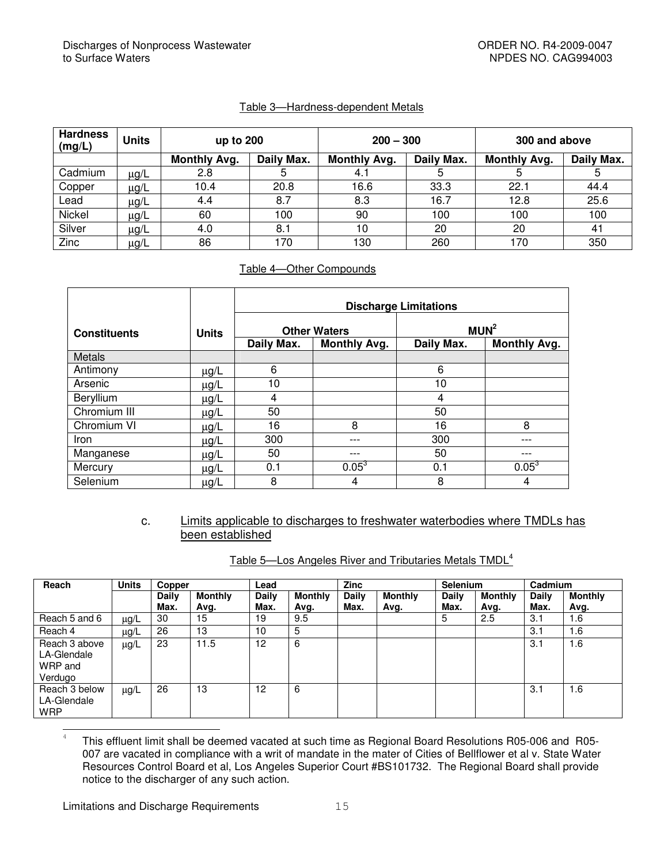#### Table 3—Hardness-dependent Metals

| <b>Hardness</b><br>(mg/L) | <b>Units</b> | up to 200           |            | $200 - 300$         |            | 300 and above       |            |  |
|---------------------------|--------------|---------------------|------------|---------------------|------------|---------------------|------------|--|
|                           |              | <b>Monthly Avg.</b> | Daily Max. | <b>Monthly Avg.</b> | Daily Max. | <b>Monthly Avg.</b> | Daily Max. |  |
| Cadmium                   | $\mu$ g/L    | 2.8                 | 5          | 4.1                 | 5          |                     |            |  |
| Copper                    | $\mu$ g/L    | 10.4                | 20.8       | 16.6                | 33.3       | 22.1                | 44.4       |  |
| Lead                      | $\mu$ g/L    | 4.4                 | 8.7        | 8.3                 | 16.7       | 12.8                | 25.6       |  |
| Nickel                    | $\mu$ g/L    | 60                  | 100        | 90                  | 100        | 100                 | 100        |  |
| Silver                    | $\mu$ g/L    | 4.0                 | 8.1        | 10                  | 20         | 20                  | 41         |  |
| Zinc                      | μg/L         | 86                  | 170        | 130                 | 260        | 170                 | 350        |  |

#### Table 4—Other Compounds

|                     |              | <b>Discharge Limitations</b>      |                                         |            |                     |  |  |  |  |
|---------------------|--------------|-----------------------------------|-----------------------------------------|------------|---------------------|--|--|--|--|
| <b>Constituents</b> | <b>Units</b> |                                   | MUN <sup>2</sup><br><b>Other Waters</b> |            |                     |  |  |  |  |
|                     |              | <b>Monthly Avg.</b><br>Daily Max. |                                         | Daily Max. | <b>Monthly Avg.</b> |  |  |  |  |
| <b>Metals</b>       |              |                                   |                                         |            |                     |  |  |  |  |
| Antimony            | $\mu$ g/L    | 6                                 |                                         | 6          |                     |  |  |  |  |
| Arsenic             | $\mu$ g/L    | 10                                |                                         | 10         |                     |  |  |  |  |
| Beryllium           | $\mu$ g/L    | 4                                 |                                         | 4          |                     |  |  |  |  |
| Chromium III        | $\mu$ g/L    | 50                                |                                         | 50         |                     |  |  |  |  |
| Chromium VI         | $\mu$ g/L    | 16                                | 8                                       | 16         | 8                   |  |  |  |  |
| <i>Iron</i>         | $\mu$ g/L    | 300                               | ---                                     | 300        | ---                 |  |  |  |  |
| Manganese           | $\mu$ g/L    | 50                                | $---$                                   | 50         | ---                 |  |  |  |  |
| Mercury             | <u>µg/</u> L | 0.1                               | $0.05^3$                                | 0.1        | $0.05^3$            |  |  |  |  |
| Selenium            | $\mu$ g/L    | 8                                 | 4                                       | 8          | 4                   |  |  |  |  |

## c. Limits applicable to discharges to freshwater waterbodies where TMDLs has been established

| Table 5—Los Angeles River and Tributaries Metals TMDL <sup>4</sup> |
|--------------------------------------------------------------------|
|--------------------------------------------------------------------|

| Reach                                              | <b>Units</b> | Copper       |                | Lead         |         | <b>Zinc</b>  |                | <b>Selenium</b> |         | Cadmium      |                |
|----------------------------------------------------|--------------|--------------|----------------|--------------|---------|--------------|----------------|-----------------|---------|--------------|----------------|
|                                                    |              | <b>Daily</b> | <b>Monthly</b> | <b>Daily</b> | Monthly | <b>Daily</b> | <b>Monthly</b> | <b>Daily</b>    | Monthly | <b>Daily</b> | <b>Monthly</b> |
|                                                    |              | Max.         | Avg.           | Max.         | Avg.    | Max.         | Avg.           | Max.            | Avg.    | Max.         | Avg.           |
| Reach 5 and 6                                      | $\mu$ g/L    | 30           | 15             | 19           | 9.5     |              |                | 5               | 2.5     | 3.1          | 1.6            |
| Reach 4                                            | $\mu$ g/L    | 26           | 13             | 10           | 5       |              |                |                 |         | 3.1          | 1.6            |
| Reach 3 above<br>LA-Glendale<br>WRP and<br>Verdugo | $\mu$ g/L    | 23           | 11.5           | 12           | 6       |              |                |                 |         | 3.1          | 1.6            |
| Reach 3 below<br>LA-Glendale<br><b>WRP</b>         | $\mu$ g/L    | 26           | 13             | 12           | 6       |              |                |                 |         | 3.1          | 1.6            |

This effluent limit shall be deemed vacated at such time as Regional Board Resolutions R05-006 and R05- 007 are vacated in compliance with a writ of mandate in the mater of Cities of Bellflower et al v. State Water Resources Control Board et al, Los Angeles Superior Court #BS101732. The Regional Board shall provide notice to the discharger of any such action.

Limitations and Discharge Requirements 15

4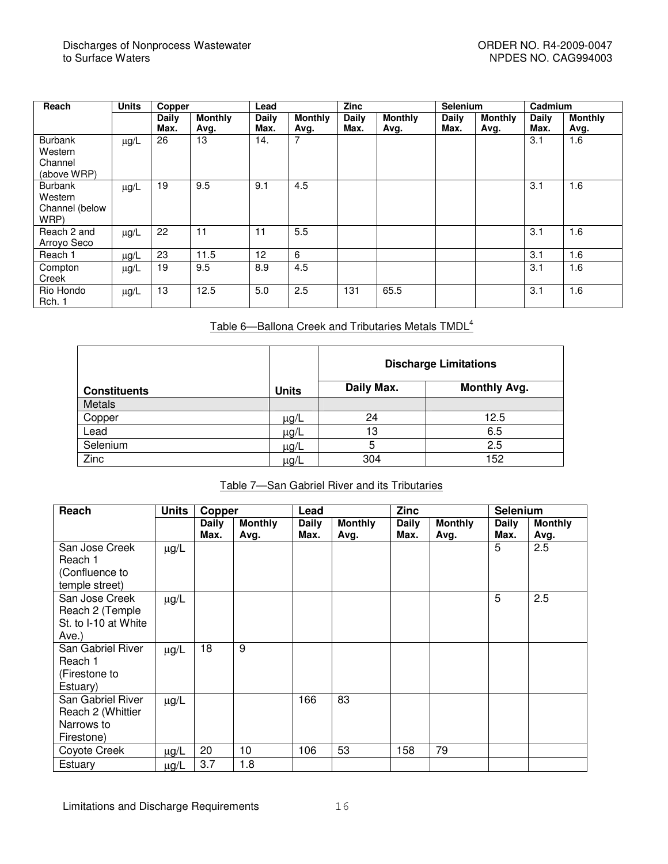| Reach          | <b>Units</b> | Copper       |                | Lead         |                | Zinc  |                | <b>Selenium</b> |                | Cadmium      |                |
|----------------|--------------|--------------|----------------|--------------|----------------|-------|----------------|-----------------|----------------|--------------|----------------|
|                |              | <b>Daily</b> | <b>Monthly</b> | <b>Daily</b> | <b>Monthly</b> | Daily | <b>Monthly</b> | <b>Daily</b>    | <b>Monthly</b> | <b>Daily</b> | <b>Monthly</b> |
|                |              | Max.         | Avg.           | Max.         | Avg.           | Max.  | Avg.           | Max.            | Avg.           | Max.         | Avg.           |
| <b>Burbank</b> | $\mu$ g/L    | 26           | 13             | 14.          |                |       |                |                 |                | 3.1          | 1.6            |
| Western        |              |              |                |              |                |       |                |                 |                |              |                |
| Channel        |              |              |                |              |                |       |                |                 |                |              |                |
| (above WRP)    |              |              |                |              |                |       |                |                 |                |              |                |
| <b>Burbank</b> | $\mu$ g/L    | 19           | 9.5            | 9.1          | 4.5            |       |                |                 |                | 3.1          | 1.6            |
| Western        |              |              |                |              |                |       |                |                 |                |              |                |
| Channel (below |              |              |                |              |                |       |                |                 |                |              |                |
| WRP)           |              |              |                |              |                |       |                |                 |                |              |                |
| Reach 2 and    | $\mu$ g/L    | 22           | 11             | 11           | 5.5            |       |                |                 |                | 3.1          | 1.6            |
| Arroyo Seco    |              |              |                |              |                |       |                |                 |                |              |                |
| Reach 1        | <u>µg/L</u>  | 23           | 11.5           | 12           | 6              |       |                |                 |                | 3.1          | 1.6            |
| Compton        | $\mu$ g/L    | 19           | 9.5            | 8.9          | 4.5            |       |                |                 |                | 3.1          | 1.6            |
| Creek          |              |              |                |              |                |       |                |                 |                |              |                |
| Rio Hondo      | $\mu$ g/L    | 13           | 12.5           | 5.0          | 2.5            | 131   | 65.5           |                 |                | 3.1          | 1.6            |
| Rch. 1         |              |              |                |              |                |       |                |                 |                |              |                |

## Table 6—Ballona Creek and Tributaries Metals TMDL 4

|                     |              | <b>Discharge Limitations</b> |                     |  |
|---------------------|--------------|------------------------------|---------------------|--|
| <b>Constituents</b> | <b>Units</b> | Daily Max.                   | <b>Monthly Avg.</b> |  |
| Metals              |              |                              |                     |  |
| Copper              | $\mu$ g/L    | 24                           | 12.5                |  |
| Lead                | $\mu$ g/L    | 13                           | 6.5                 |  |
| Selenium            | $\mu$ g/L    | 5                            | 2.5                 |  |
| Zinc                | $\mu$ g/L    | 304                          | 152                 |  |

#### Table 7—San Gabriel River and its Tributaries

| Reach                                                              | <b>Units</b> | Copper               |                        | Lead                 |                        | <b>Zinc</b>          |                        | <b>Selenium</b> |                        |
|--------------------------------------------------------------------|--------------|----------------------|------------------------|----------------------|------------------------|----------------------|------------------------|-----------------|------------------------|
|                                                                    |              | <b>Daily</b><br>Max. | <b>Monthly</b><br>Avg. | <b>Daily</b><br>Max. | <b>Monthly</b><br>Avg. | <b>Daily</b><br>Max. | <b>Monthly</b><br>Avg. | Daily<br>Max.   | <b>Monthly</b><br>Avg. |
| San Jose Creek<br>Reach 1<br>(Confluence to<br>temple street)      | $\mu$ g/L    |                      |                        |                      |                        |                      |                        | 5               | 2.5                    |
| San Jose Creek<br>Reach 2 (Temple<br>St. to I-10 at White<br>Ave.) | $\mu$ g/L    |                      |                        |                      |                        |                      |                        | 5               | 2.5                    |
| San Gabriel River<br>Reach 1<br>(Firestone to<br>Estuary)          | $\mu g/L$    | 18                   | 9                      |                      |                        |                      |                        |                 |                        |
| San Gabriel River<br>Reach 2 (Whittier<br>Narrows to<br>Firestone) | $\mu$ g/L    |                      |                        | 166                  | 83                     |                      |                        |                 |                        |
| Coyote Creek                                                       | $\mu$ g/L    | 20                   | 10                     | 106                  | 53                     | 158                  | 79                     |                 |                        |
| Estuary                                                            | $\mu$ g/L    | 3.7                  | 1.8                    |                      |                        |                      |                        |                 |                        |

Limitations and Discharge Requirements 16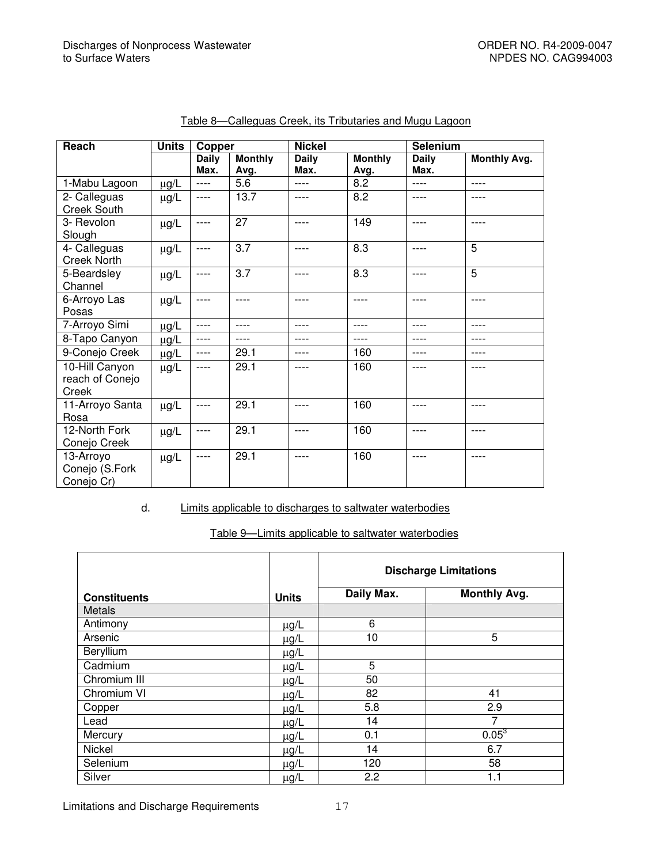| <b>Units</b><br>Reach                      |           | Copper               |                        | <b>Nickel</b>        |                        | Selenium             |                     |
|--------------------------------------------|-----------|----------------------|------------------------|----------------------|------------------------|----------------------|---------------------|
|                                            |           | <b>Daily</b><br>Max. | <b>Monthly</b><br>Avg. | <b>Daily</b><br>Max. | <b>Monthly</b><br>Avg. | <b>Daily</b><br>Max. | <b>Monthly Avg.</b> |
| 1-Mabu Lagoon                              | $\mu$ g/L | $---$                | 5.6                    | ----                 | 8.2                    | ----                 | ----                |
| 2- Calleguas<br><b>Creek South</b>         | $\mu$ g/L | ----                 | 13.7                   | ----                 | 8.2                    | ----                 | ----                |
| 3- Revolon<br>Slough                       | $\mu$ g/L | ----                 | 27                     | ----                 | 149                    | ----                 | ----                |
| 4- Calleguas<br><b>Creek North</b>         | $\mu$ g/L | ----                 | 3.7                    | $---$                | 8.3                    | $---$                | 5                   |
| 5-Beardsley<br>Channel                     | $\mu$ g/L | ----                 | 3.7                    | ----                 | 8.3                    | ----                 | $\overline{5}$      |
| 6-Arroyo Las<br>Posas                      | $\mu$ g/L | ----                 | ----                   | ----                 | ----                   | $---$                | ----                |
| 7-Arroyo Simi<br>$\mu$ g/L                 |           | ----                 | ----                   | ----                 | ----                   | ----                 | ----                |
| 8-Tapo Canyon<br>$\mu$ g/L                 |           | ----                 | ----                   | ----                 | ----                   | ----                 | ----                |
| 9-Conejo Creek                             | $\mu$ g/L | ----                 | 29.1                   | ----                 | 160                    | ----                 | ----                |
| 10-Hill Canyon<br>reach of Conejo<br>Creek | $\mu$ g/L | ----                 | 29.1                   | ----                 | 160                    | ----                 | ----                |
| 11-Arroyo Santa<br>Rosa                    | $\mu$ g/L | ----                 | 29.1                   | ----                 | 160                    | ----                 | ----                |
| 12-North Fork<br>Conejo Creek              | $\mu$ g/L | ----                 | 29.1                   | ----                 | 160                    | ----                 | ----                |
| 13-Arroyo<br>Conejo (S.Fork<br>Conejo Cr)  | $\mu$ g/L | ----                 | 29.1                   | ----                 | 160                    | ----                 | ----                |

#### Table 8—Calleguas Creek, its Tributaries and Mugu Lagoon

#### d. Limits applicable to discharges to saltwater waterbodies

#### Table 9—Limits applicable to saltwater waterbodies

|                     |              | <b>Discharge Limitations</b> |                     |  |
|---------------------|--------------|------------------------------|---------------------|--|
| <b>Constituents</b> | <b>Units</b> | Daily Max.                   | <b>Monthly Avg.</b> |  |
| Metals              |              |                              |                     |  |
| Antimony            | $\mu$ g/L    | 6                            |                     |  |
| Arsenic             | $\mu g/L$    | 10                           | 5                   |  |
| Beryllium           | $\mu$ g/L    |                              |                     |  |
| Cadmium             | $\mu$ g/L    | 5                            |                     |  |
| Chromium III        | $\mu$ g/L    | 50                           |                     |  |
| Chromium VI         | $\mu$ g/L    | 82                           | 41                  |  |
| Copper              | $\mu$ g/L    | 5.8                          | 2.9                 |  |
| Lead                | $\mu$ g/L    | 14                           | $\overline{7}$      |  |
| Mercury             | $\mu$ g/L    | 0.1                          | $0.05^{3}$          |  |
| Nickel              | $\mu$ g/L    | 14                           | 6.7                 |  |
| Selenium            | $\mu$ g/L    | 120                          | 58                  |  |
| Silver              | $\mu g/L$    | 2.2                          | 1.1                 |  |

Limitations and Discharge Requirements 17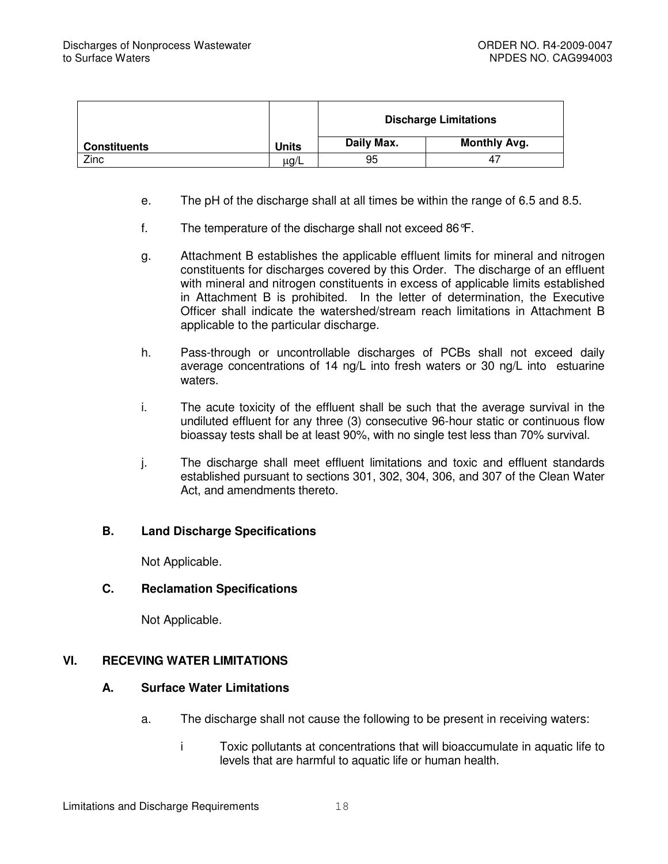|                     |              | <b>Discharge Limitations</b> |                     |  |
|---------------------|--------------|------------------------------|---------------------|--|
| <b>Constituents</b> | <b>Units</b> | Daily Max.                   | <b>Monthly Avg.</b> |  |
| Zinc                | $\mu$ g/L    | 95                           | 4,                  |  |

- e. The pH of the discharge shall at all times be within the range of 6.5 and 8.5.
- f. The temperature of the discharge shall not exceed 86°F.
- g. Attachment B establishes the applicable effluent limits for mineral and nitrogen constituents for discharges covered by this Order. The discharge of an effluent with mineral and nitrogen constituents in excess of applicable limits established in Attachment B is prohibited. In the letter of determination, the Executive Officer shall indicate the watershed/stream reach limitations in Attachment B applicable to the particular discharge.
- h. Pass-through or uncontrollable discharges of PCBs shall not exceed daily average concentrations of 14 ng/L into fresh waters or 30 ng/L into estuarine waters.
- i. The acute toxicity of the effluent shall be such that the average survival in the undiluted effluent for any three (3) consecutive 96-hour static or continuous flow bioassay tests shall be at least 90%, with no single test less than 70% survival.
- j. The discharge shall meet effluent limitations and toxic and effluent standards established pursuant to sections 301, 302, 304, 306, and 307 of the Clean Water Act, and amendments thereto.

#### **B. Land Discharge Specifications**

Not Applicable.

## **C. Reclamation Specifications**

Not Applicable.

## **VI. RECEVING WATER LIMITATIONS**

#### **A. Surface Water Limitations**

- a. The discharge shall not cause the following to be present in receiving waters:
	- i Toxic pollutants at concentrations that will bioaccumulate in aquatic life to levels that are harmful to aquatic life or human health.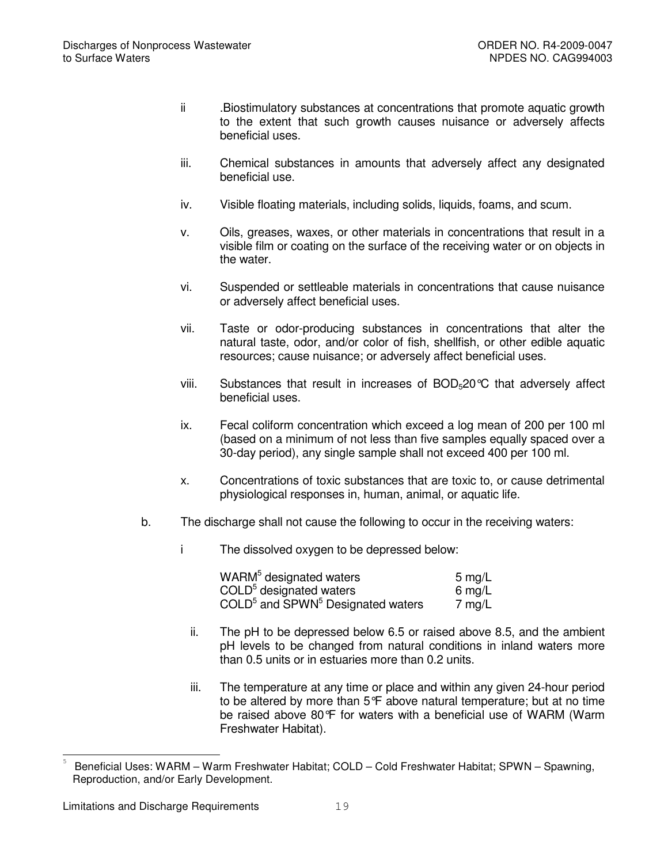- ii .Biostimulatory substances at concentrations that promote aquatic growth to the extent that such growth causes nuisance or adversely affects beneficial uses.
- iii. Chemical substances in amounts that adversely affect any designated beneficial use.
- iv. Visible floating materials, including solids, liquids, foams, and scum.
- v. Oils, greases, waxes, or other materials in concentrations that result in a visible film or coating on the surface of the receiving water or on objects in the water.
- vi. Suspended or settleable materials in concentrations that cause nuisance or adversely affect beneficial uses.
- vii. Taste or odor-producing substances in concentrations that alter the natural taste, odor, and/or color of fish, shellfish, or other edible aquatic resources; cause nuisance; or adversely affect beneficial uses.
- viii. Substances that result in increases of  $BOD<sub>5</sub>20^{\circ}C$  that adversely affect beneficial uses.
- ix. Fecal coliform concentration which exceed a log mean of 200 per 100 ml (based on a minimum of not less than five samples equally spaced over a 30-day period), any single sample shall not exceed 400 per 100 ml.
- x. Concentrations of toxic substances that are toxic to, or cause detrimental physiological responses in, human, animal, or aquatic life.
- b. The discharge shall not cause the following to occur in the receiving waters:
	- i The dissolved oxygen to be depressed below:

| WARM <sup>5</sup> designated waters             | $5 \text{ mg/L}$ |
|-------------------------------------------------|------------------|
| COLD <sup>5</sup> designated waters             | 6 mg/L           |
| $\text{COLD}^5$ and SPWN $^5$ Designated waters | $7 \text{ mg/L}$ |

- ii. The pH to be depressed below 6.5 or raised above 8.5, and the ambient pH levels to be changed from natural conditions in inland waters more than 0.5 units or in estuaries more than 0.2 units.
- iii. The temperature at any time or place and within any given 24-hour period to be altered by more than 5°F above natural temperature; but at no time be raised above 80°F for waters with a beneficial use of WARM (Warm Freshwater Habitat).

<sup>5</sup> Beneficial Uses: WARM – Warm Freshwater Habitat; COLD – Cold Freshwater Habitat; SPWN – Spawning, Reproduction, and/or Early Development.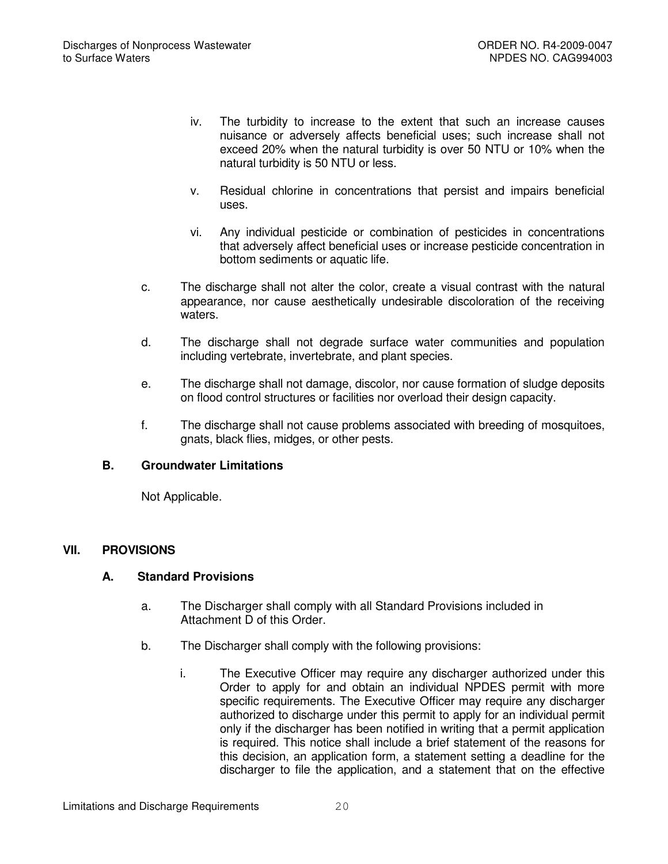- iv. The turbidity to increase to the extent that such an increase causes nuisance or adversely affects beneficial uses; such increase shall not exceed 20% when the natural turbidity is over 50 NTU or 10% when the natural turbidity is 50 NTU or less.
- v. Residual chlorine in concentrations that persist and impairs beneficial uses.
- vi. Any individual pesticide or combination of pesticides in concentrations that adversely affect beneficial uses or increase pesticide concentration in bottom sediments or aquatic life.
- c. The discharge shall not alter the color, create a visual contrast with the natural appearance, nor cause aesthetically undesirable discoloration of the receiving waters.
- d. The discharge shall not degrade surface water communities and population including vertebrate, invertebrate, and plant species.
- e. The discharge shall not damage, discolor, nor cause formation of sludge deposits on flood control structures or facilities nor overload their design capacity.
- f. The discharge shall not cause problems associated with breeding of mosquitoes, gnats, black flies, midges, or other pests.

# **B. Groundwater Limitations**

Not Applicable.

## **VII. PROVISIONS**

## **A. Standard Provisions**

- a. The Discharger shall comply with all Standard Provisions included in Attachment D of this Order.
- b. The Discharger shall comply with the following provisions:
	- i. The Executive Officer may require any discharger authorized under this Order to apply for and obtain an individual NPDES permit with more specific requirements. The Executive Officer may require any discharger authorized to discharge under this permit to apply for an individual permit only if the discharger has been notified in writing that a permit application is required. This notice shall include a brief statement of the reasons for this decision, an application form, a statement setting a deadline for the discharger to file the application, and a statement that on the effective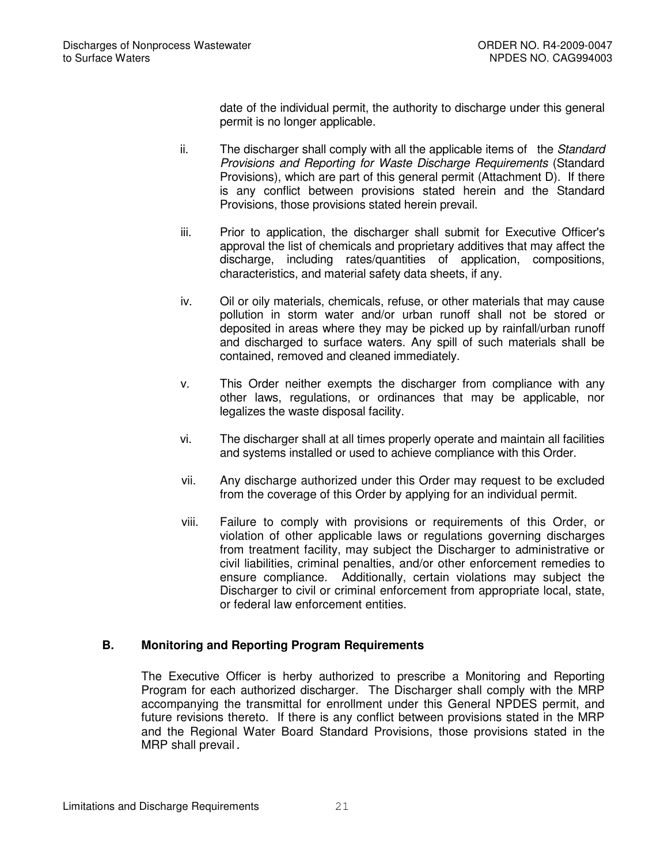date of the individual permit, the authority to discharge under this general permit is no longer applicable.

- ii. The discharger shall comply with all the applicable items of the *Standard Provisions and Reporting for Waste Discharge Requirements* (Standard Provisions), which are part of this general permit (Attachment D). If there is any conflict between provisions stated herein and the Standard Provisions, those provisions stated herein prevail.
- iii. Prior to application, the discharger shall submit for Executive Officer's approval the list of chemicals and proprietary additives that may affect the discharge, including rates/quantities of application, compositions, characteristics, and material safety data sheets, if any.
- iv. Oil or oily materials, chemicals, refuse, or other materials that may cause pollution in storm water and/or urban runoff shall not be stored or deposited in areas where they may be picked up by rainfall/urban runoff and discharged to surface waters. Any spill of such materials shall be contained, removed and cleaned immediately.
- v. This Order neither exempts the discharger from compliance with any other laws, regulations, or ordinances that may be applicable, nor legalizes the waste disposal facility.
- vi. The discharger shall at all times properly operate and maintain all facilities and systems installed or used to achieve compliance with this Order.
- vii. Any discharge authorized under this Order may request to be excluded from the coverage of this Order by applying for an individual permit.
- viii. Failure to comply with provisions or requirements of this Order, or violation of other applicable laws or regulations governing discharges from treatment facility, may subject the Discharger to administrative or civil liabilities, criminal penalties, and/or other enforcement remedies to ensure compliance. Additionally, certain violations may subject the Discharger to civil or criminal enforcement from appropriate local, state, or federal law enforcement entities.

# **B. Monitoring and Reporting Program Requirements**

The Executive Officer is herby authorized to prescribe a Monitoring and Reporting Program for each authorized discharger. The Discharger shall comply with the MRP accompanying the transmittal for enrollment under this General NPDES permit, and future revisions thereto. If there is any conflict between provisions stated in the MRP and the Regional Water Board Standard Provisions, those provisions stated in the MRP shall prevail.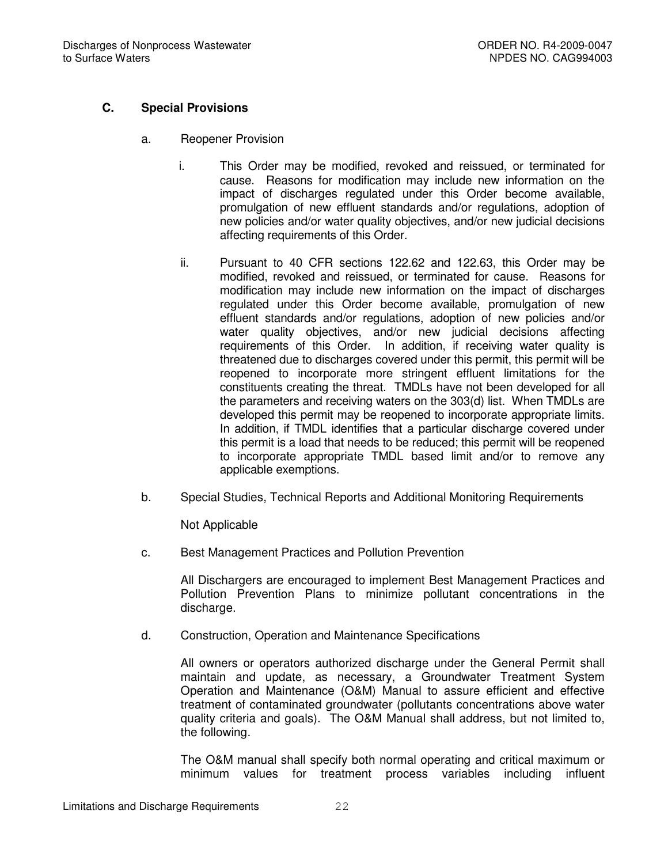# **C. Special Provisions**

- a. Reopener Provision
	- i. This Order may be modified, revoked and reissued, or terminated for cause. Reasons for modification may include new information on the impact of discharges regulated under this Order become available, promulgation of new effluent standards and/or regulations, adoption of new policies and/or water quality objectives, and/or new judicial decisions affecting requirements of this Order.
	- ii. Pursuant to 40 CFR sections 122.62 and 122.63, this Order may be modified, revoked and reissued, or terminated for cause. Reasons for modification may include new information on the impact of discharges regulated under this Order become available, promulgation of new effluent standards and/or regulations, adoption of new policies and/or water quality objectives, and/or new judicial decisions affecting requirements of this Order. In addition, if receiving water quality is threatened due to discharges covered under this permit, this permit will be reopened to incorporate more stringent effluent limitations for the constituents creating the threat. TMDLs have not been developed for all the parameters and receiving waters on the 303(d) list. When TMDLs are developed this permit may be reopened to incorporate appropriate limits. In addition, if TMDL identifies that a particular discharge covered under this permit is a load that needs to be reduced; this permit will be reopened to incorporate appropriate TMDL based limit and/or to remove any applicable exemptions.
- b. Special Studies, Technical Reports and Additional Monitoring Requirements

Not Applicable

c. Best Management Practices and Pollution Prevention

All Dischargers are encouraged to implement Best Management Practices and Pollution Prevention Plans to minimize pollutant concentrations in the discharge.

d. Construction, Operation and Maintenance Specifications

All owners or operators authorized discharge under the General Permit shall maintain and update, as necessary, a Groundwater Treatment System Operation and Maintenance (O&M) Manual to assure efficient and effective treatment of contaminated groundwater (pollutants concentrations above water quality criteria and goals). The O&M Manual shall address, but not limited to, the following.

The O&M manual shall specify both normal operating and critical maximum or minimum values for treatment process variables including influent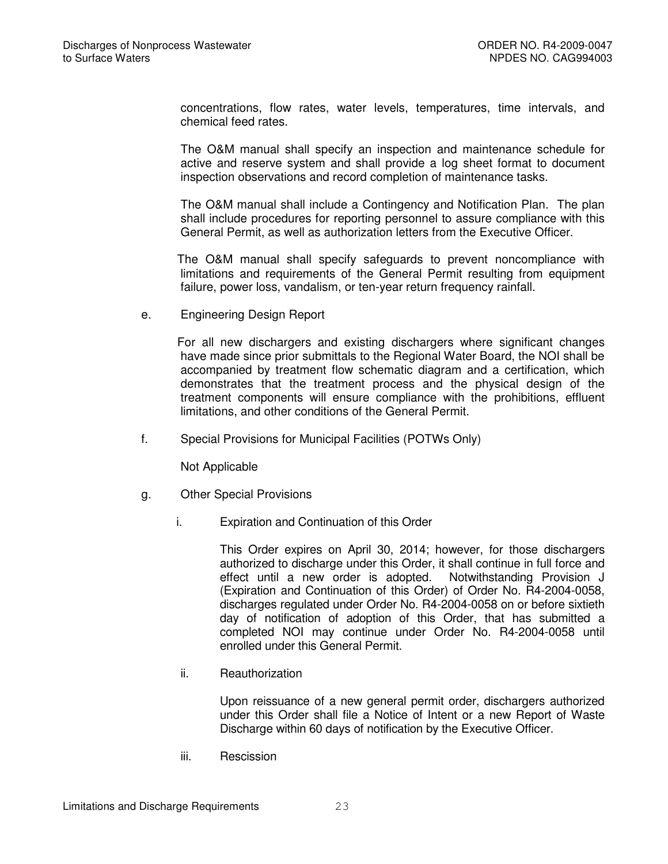concentrations, flow rates, water levels, temperatures, time intervals, and chemical feed rates.

The O&M manual shall specify an inspection and maintenance schedule for active and reserve system and shall provide a log sheet format to document inspection observations and record completion of maintenance tasks.

The O&M manual shall include a Contingency and Notification Plan. The plan shall include procedures for reporting personnel to assure compliance with this General Permit, as well as authorization letters from the Executive Officer.

The O&M manual shall specify safeguards to prevent noncompliance with limitations and requirements of the General Permit resulting from equipment failure, power loss, vandalism, or ten-year return frequency rainfall.

e. Engineering Design Report

For all new dischargers and existing dischargers where significant changes have made since prior submittals to the Regional Water Board, the NOI shall be accompanied by treatment flow schematic diagram and a certification, which demonstrates that the treatment process and the physical design of the treatment components will ensure compliance with the prohibitions, effluent limitations, and other conditions of the General Permit.

f. Special Provisions for Municipal Facilities (POTWs Only)

Not Applicable

- g. Other Special Provisions
	- i. Expiration and Continuation of this Order

This Order expires on April 30, 2014; however, for those dischargers authorized to discharge under this Order, it shall continue in full force and effect until a new order is adopted. Notwithstanding Provision J (Expiration and Continuation of this Order) of Order No. R4-2004-0058, discharges regulated under Order No. R4-2004-0058 on or before sixtieth day of notification of adoption of this Order, that has submitted a completed NOI may continue under Order No. R4-2004-0058 until enrolled under this General Permit.

ii. Reauthorization

Upon reissuance of a new general permit order, dischargers authorized under this Order shall file a Notice of Intent or a new Report of Waste Discharge within 60 days of notification by the Executive Officer.

iii. Rescission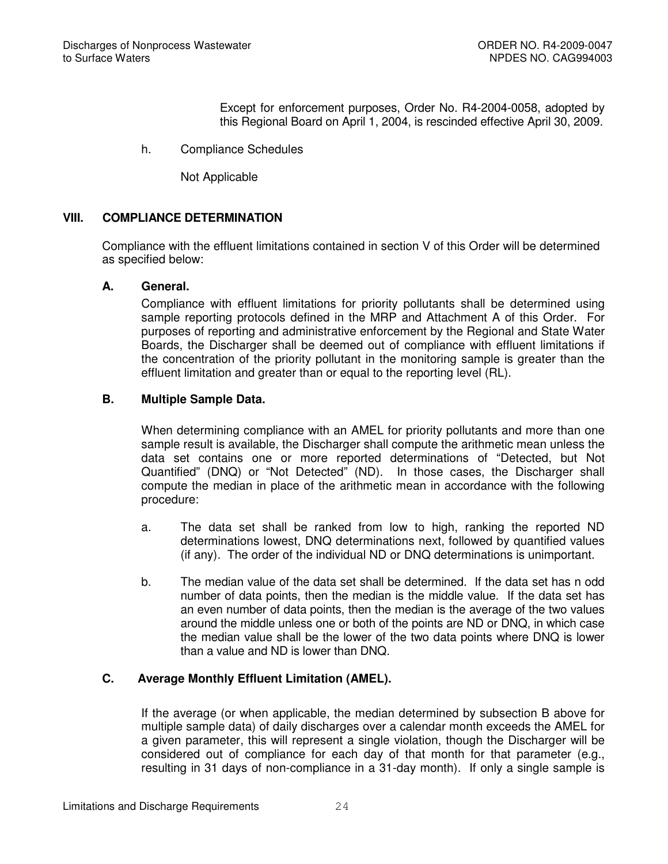Except for enforcement purposes, Order No. R4-2004-0058, adopted by this Regional Board on April 1, 2004, is rescinded effective April 30, 2009.

h. Compliance Schedules

Not Applicable

#### **VIII. COMPLIANCE DETERMINATION**

Compliance with the effluent limitations contained in section V of this Order will be determined as specified below:

#### **A. General.**

Compliance with effluent limitations for priority pollutants shall be determined using sample reporting protocols defined in the MRP and Attachment A of this Order. For purposes of reporting and administrative enforcement by the Regional and State Water Boards, the Discharger shall be deemed out of compliance with effluent limitations if the concentration of the priority pollutant in the monitoring sample is greater than the effluent limitation and greater than or equal to the reporting level (RL).

#### **B. Multiple Sample Data.**

When determining compliance with an AMEL for priority pollutants and more than one sample result is available, the Discharger shall compute the arithmetic mean unless the data set contains one or more reported determinations of "Detected, but Not Quantified" (DNQ) or "Not Detected" (ND). In those cases, the Discharger shall compute the median in place of the arithmetic mean in accordance with the following procedure:

- a. The data set shall be ranked from low to high, ranking the reported ND determinations lowest, DNQ determinations next, followed by quantified values (if any). The order of the individual ND or DNQ determinations is unimportant.
- b. The median value of the data set shall be determined. If the data set has n odd number of data points, then the median is the middle value. If the data set has an even number of data points, then the median is the average of the two values around the middle unless one or both of the points are ND or DNQ, in which case the median value shall be the lower of the two data points where DNQ is lower than a value and ND is lower than DNQ.

# **C. Average Monthly Effluent Limitation (AMEL).**

If the average (or when applicable, the median determined by subsection B above for multiple sample data) of daily discharges over a calendar month exceeds the AMEL for a given parameter, this will represent a single violation, though the Discharger will be considered out of compliance for each day of that month for that parameter (e.g., resulting in 31 days of non-compliance in a 31-day month). If only a single sample is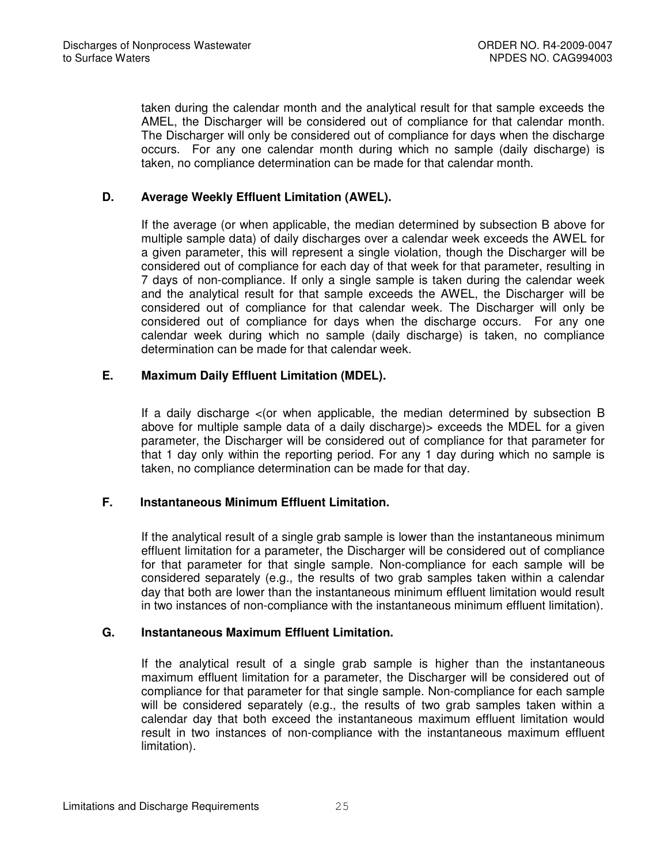taken during the calendar month and the analytical result for that sample exceeds the AMEL, the Discharger will be considered out of compliance for that calendar month. The Discharger will only be considered out of compliance for days when the discharge occurs. For any one calendar month during which no sample (daily discharge) is taken, no compliance determination can be made for that calendar month.

# **D. Average Weekly Effluent Limitation (AWEL).**

If the average (or when applicable, the median determined by subsection B above for multiple sample data) of daily discharges over a calendar week exceeds the AWEL for a given parameter, this will represent a single violation, though the Discharger will be considered out of compliance for each day of that week for that parameter, resulting in 7 days of non-compliance. If only a single sample is taken during the calendar week and the analytical result for that sample exceeds the AWEL, the Discharger will be considered out of compliance for that calendar week. The Discharger will only be considered out of compliance for days when the discharge occurs. For any one calendar week during which no sample (daily discharge) is taken, no compliance determination can be made for that calendar week.

## **E. Maximum Daily Effluent Limitation (MDEL).**

If a daily discharge <(or when applicable, the median determined by subsection B above for multiple sample data of a daily discharge)> exceeds the MDEL for a given parameter, the Discharger will be considered out of compliance for that parameter for that 1 day only within the reporting period. For any 1 day during which no sample is taken, no compliance determination can be made for that day.

## **F. Instantaneous Minimum Effluent Limitation.**

If the analytical result of a single grab sample is lower than the instantaneous minimum effluent limitation for a parameter, the Discharger will be considered out of compliance for that parameter for that single sample. Non-compliance for each sample will be considered separately (e.g., the results of two grab samples taken within a calendar day that both are lower than the instantaneous minimum effluent limitation would result in two instances of non-compliance with the instantaneous minimum effluent limitation).

## **G. Instantaneous Maximum Effluent Limitation.**

If the analytical result of a single grab sample is higher than the instantaneous maximum effluent limitation for a parameter, the Discharger will be considered out of compliance for that parameter for that single sample. Non-compliance for each sample will be considered separately (e.g., the results of two grab samples taken within a calendar day that both exceed the instantaneous maximum effluent limitation would result in two instances of non-compliance with the instantaneous maximum effluent limitation).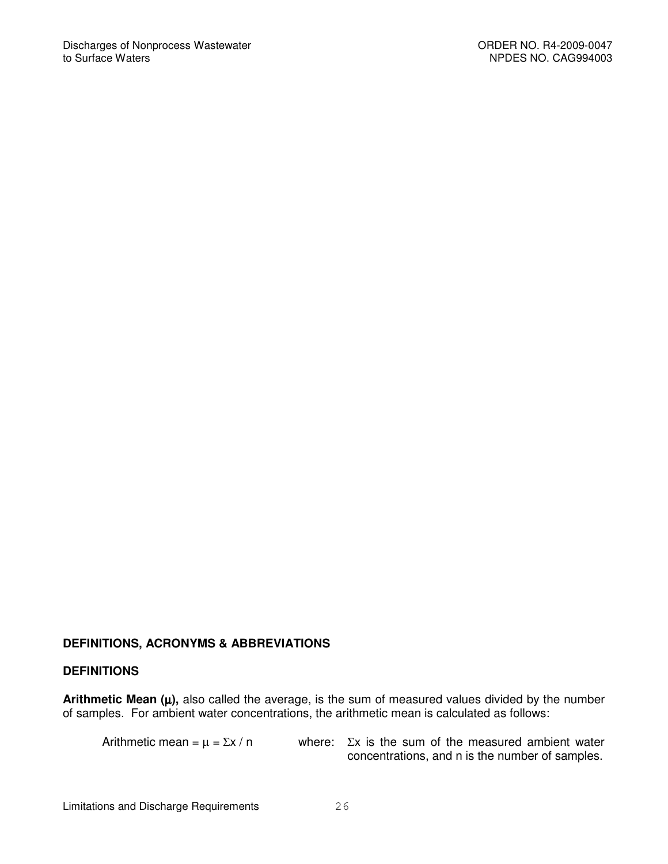# **DEFINITIONS, ACRONYMS & ABBREVIATIONS**

#### **DEFINITIONS**

**Arithmetic Mean (**µ**),** also called the average, is the sum of measured values divided by the number of samples. For ambient water concentrations, the arithmetic mean is calculated as follows:

Arithmetic mean =  $\mu$  =  $\Sigma x / n$  where:  $\Sigma x$  is the sum of the measured ambient water concentrations, and n is the number of samples.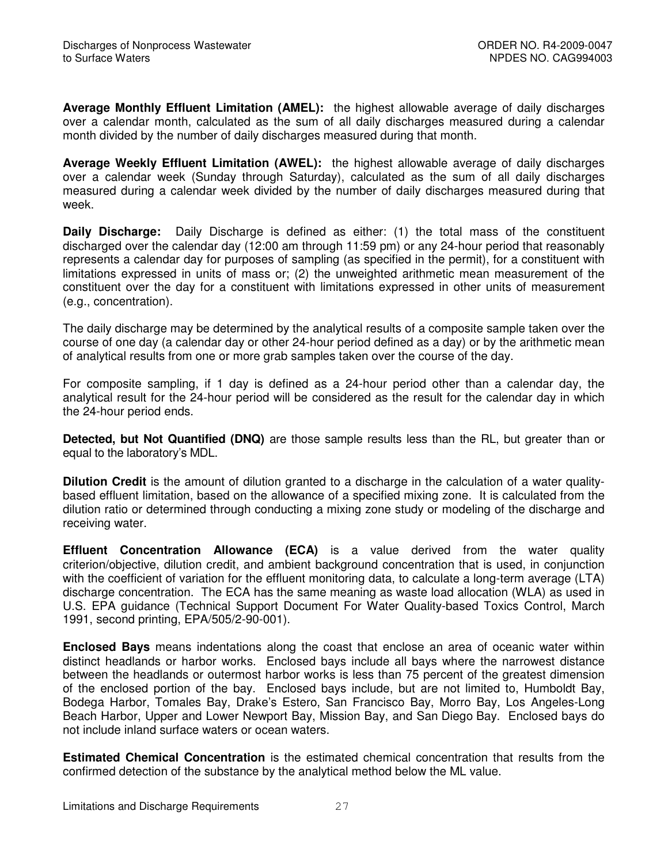**Average Monthly Effluent Limitation (AMEL):** the highest allowable average of daily discharges over a calendar month, calculated as the sum of all daily discharges measured during a calendar month divided by the number of daily discharges measured during that month.

**Average Weekly Effluent Limitation (AWEL):** the highest allowable average of daily discharges over a calendar week (Sunday through Saturday), calculated as the sum of all daily discharges measured during a calendar week divided by the number of daily discharges measured during that week.

**Daily Discharge:** Daily Discharge is defined as either: (1) the total mass of the constituent discharged over the calendar day (12:00 am through 11:59 pm) or any 24-hour period that reasonably represents a calendar day for purposes of sampling (as specified in the permit), for a constituent with limitations expressed in units of mass or; (2) the unweighted arithmetic mean measurement of the constituent over the day for a constituent with limitations expressed in other units of measurement (e.g., concentration).

The daily discharge may be determined by the analytical results of a composite sample taken over the course of one day (a calendar day or other 24-hour period defined as a day) or by the arithmetic mean of analytical results from one or more grab samples taken over the course of the day.

For composite sampling, if 1 day is defined as a 24-hour period other than a calendar day, the analytical result for the 24-hour period will be considered as the result for the calendar day in which the 24-hour period ends.

**Detected, but Not Quantified (DNQ)** are those sample results less than the RL, but greater than or equal to the laboratory's MDL.

**Dilution Credit** is the amount of dilution granted to a discharge in the calculation of a water qualitybased effluent limitation, based on the allowance of a specified mixing zone. It is calculated from the dilution ratio or determined through conducting a mixing zone study or modeling of the discharge and receiving water.

**Effluent Concentration Allowance (ECA)** is a value derived from the water quality criterion/objective, dilution credit, and ambient background concentration that is used, in conjunction with the coefficient of variation for the effluent monitoring data, to calculate a long-term average (LTA) discharge concentration. The ECA has the same meaning as waste load allocation (WLA) as used in U.S. EPA guidance (Technical Support Document For Water Quality-based Toxics Control, March 1991, second printing, EPA/505/2-90-001).

**Enclosed Bays** means indentations along the coast that enclose an area of oceanic water within distinct headlands or harbor works. Enclosed bays include all bays where the narrowest distance between the headlands or outermost harbor works is less than 75 percent of the greatest dimension of the enclosed portion of the bay. Enclosed bays include, but are not limited to, Humboldt Bay, Bodega Harbor, Tomales Bay, Drake's Estero, San Francisco Bay, Morro Bay, Los Angeles-Long Beach Harbor, Upper and Lower Newport Bay, Mission Bay, and San Diego Bay. Enclosed bays do not include inland surface waters or ocean waters.

**Estimated Chemical Concentration** is the estimated chemical concentration that results from the confirmed detection of the substance by the analytical method below the ML value.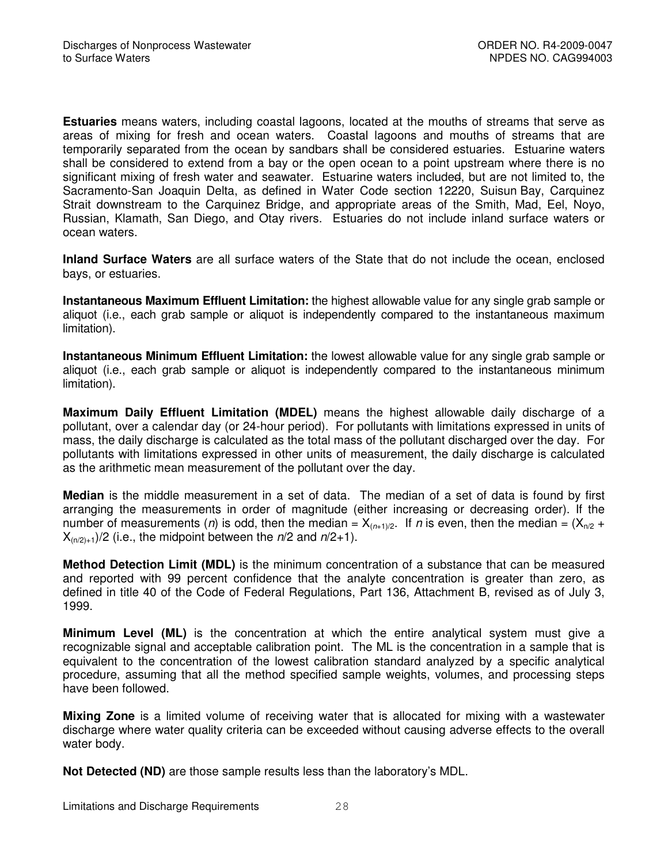**Estuaries** means waters, including coastal lagoons, located at the mouths of streams that serve as areas of mixing for fresh and ocean waters. Coastal lagoons and mouths of streams that are temporarily separated from the ocean by sandbars shall be considered estuaries. Estuarine waters shall be considered to extend from a bay or the open ocean to a point upstream where there is no significant mixing of fresh water and seawater. Estuarine waters included, but are not limited to, the Sacramento-San Joaquin Delta, as defined in Water Code section 12220, Suisun Bay, Carquinez Strait downstream to the Carquinez Bridge, and appropriate areas of the Smith, Mad, Eel, Noyo, Russian, Klamath, San Diego, and Otay rivers. Estuaries do not include inland surface waters or ocean waters.

**Inland Surface Waters** are all surface waters of the State that do not include the ocean, enclosed bays, or estuaries.

**Instantaneous Maximum Effluent Limitation:** the highest allowable value for any single grab sample or aliquot (i.e., each grab sample or aliquot is independently compared to the instantaneous maximum limitation).

**Instantaneous Minimum Effluent Limitation:** the lowest allowable value for any single grab sample or aliquot (i.e., each grab sample or aliquot is independently compared to the instantaneous minimum limitation).

**Maximum Daily Effluent Limitation (MDEL)** means the highest allowable daily discharge of a pollutant, over a calendar day (or 24-hour period). For pollutants with limitations expressed in units of mass, the daily discharge is calculated as the total mass of the pollutant discharged over the day. For pollutants with limitations expressed in other units of measurement, the daily discharge is calculated as the arithmetic mean measurement of the pollutant over the day.

**Median** is the middle measurement in a set of data. The median of a set of data is found by first arranging the measurements in order of magnitude (either increasing or decreasing order). If the number of measurements (*n*) is odd, then the median =  $X_{(n+1)/2}$ . If *n* is even, then the median =  $(X_{n/2} +$  $X_{(n/2)+1}/2$  (i.e., the midpoint between the  $n/2$  and  $n/2+1$ ).

**Method Detection Limit (MDL)** is the minimum concentration of a substance that can be measured and reported with 99 percent confidence that the analyte concentration is greater than zero, as defined in title 40 of the Code of Federal Regulations, Part 136, Attachment B, revised as of July 3, 1999.

**Minimum Level (ML)** is the concentration at which the entire analytical system must give a recognizable signal and acceptable calibration point. The ML is the concentration in a sample that is equivalent to the concentration of the lowest calibration standard analyzed by a specific analytical procedure, assuming that all the method specified sample weights, volumes, and processing steps have been followed.

**Mixing Zone** is a limited volume of receiving water that is allocated for mixing with a wastewater discharge where water quality criteria can be exceeded without causing adverse effects to the overall water body.

**Not Detected (ND)** are those sample results less than the laboratory's MDL.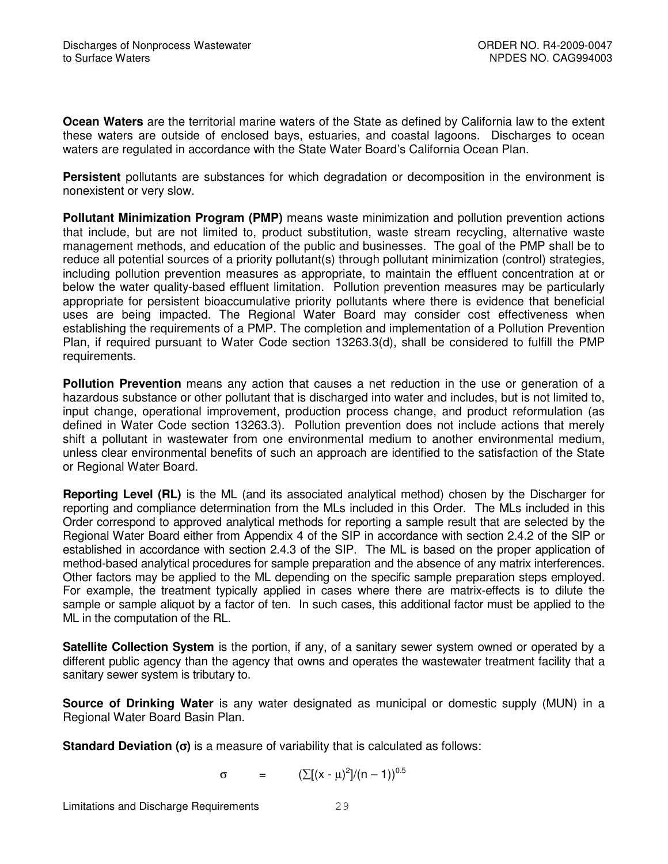**Ocean Waters** are the territorial marine waters of the State as defined by California law to the extent these waters are outside of enclosed bays, estuaries, and coastal lagoons. Discharges to ocean waters are regulated in accordance with the State Water Board's California Ocean Plan.

**Persistent** pollutants are substances for which degradation or decomposition in the environment is nonexistent or very slow.

**Pollutant Minimization Program (PMP)** means waste minimization and pollution prevention actions that include, but are not limited to, product substitution, waste stream recycling, alternative waste management methods, and education of the public and businesses. The goal of the PMP shall be to reduce all potential sources of a priority pollutant(s) through pollutant minimization (control) strategies, including pollution prevention measures as appropriate, to maintain the effluent concentration at or below the water quality-based effluent limitation. Pollution prevention measures may be particularly appropriate for persistent bioaccumulative priority pollutants where there is evidence that beneficial uses are being impacted. The Regional Water Board may consider cost effectiveness when establishing the requirements of a PMP. The completion and implementation of a Pollution Prevention Plan, if required pursuant to Water Code section 13263.3(d), shall be considered to fulfill the PMP requirements.

**Pollution Prevention** means any action that causes a net reduction in the use or generation of a hazardous substance or other pollutant that is discharged into water and includes, but is not limited to, input change, operational improvement, production process change, and product reformulation (as defined in Water Code section 13263.3). Pollution prevention does not include actions that merely shift a pollutant in wastewater from one environmental medium to another environmental medium, unless clear environmental benefits of such an approach are identified to the satisfaction of the State or Regional Water Board.

**Reporting Level (RL)** is the ML (and its associated analytical method) chosen by the Discharger for reporting and compliance determination from the MLs included in this Order. The MLs included in this Order correspond to approved analytical methods for reporting a sample result that are selected by the Regional Water Board either from Appendix 4 of the SIP in accordance with section 2.4.2 of the SIP or established in accordance with section 2.4.3 of the SIP. The ML is based on the proper application of method-based analytical procedures for sample preparation and the absence of any matrix interferences. Other factors may be applied to the ML depending on the specific sample preparation steps employed. For example, the treatment typically applied in cases where there are matrix-effects is to dilute the sample or sample aliquot by a factor of ten. In such cases, this additional factor must be applied to the ML in the computation of the RL.

**Satellite Collection System** is the portion, if any, of a sanitary sewer system owned or operated by a different public agency than the agency that owns and operates the wastewater treatment facility that a sanitary sewer system is tributary to.

**Source of Drinking Water** is any water designated as municipal or domestic supply (MUN) in a Regional Water Board Basin Plan.

**Standard Deviation (**σ**)** is a measure of variability that is calculated as follows:

 $\sigma = (\sum [(x - μ)^2]/(n - 1))^{0.5}$ 

Limitations and Discharge Requirements 29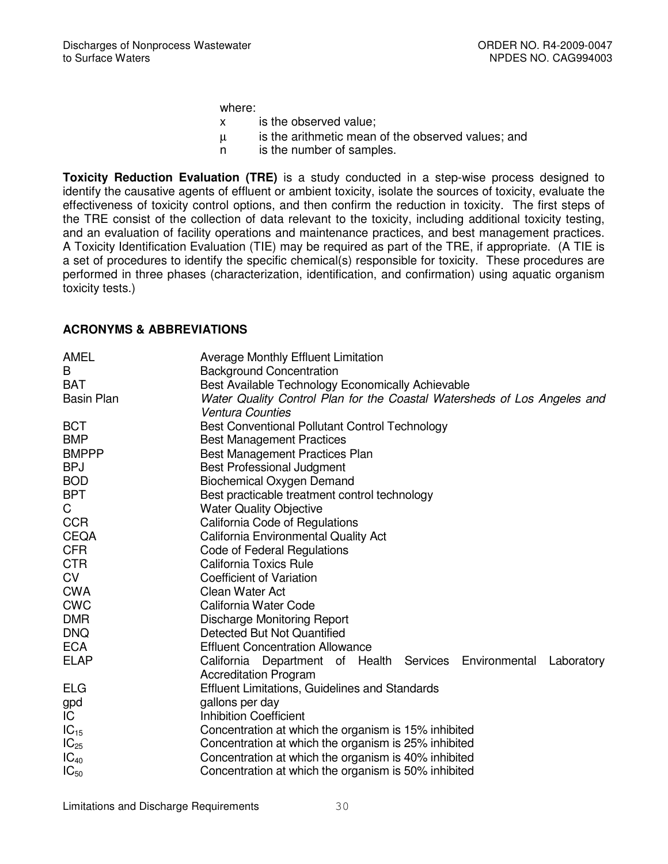where:

- x is the observed value;
- µ is the arithmetic mean of the observed values; and
- n is the number of samples.

**Toxicity Reduction Evaluation (TRE)** is a study conducted in a step-wise process designed to identify the causative agents of effluent or ambient toxicity, isolate the sources of toxicity, evaluate the effectiveness of toxicity control options, and then confirm the reduction in toxicity. The first steps of the TRE consist of the collection of data relevant to the toxicity, including additional toxicity testing, and an evaluation of facility operations and maintenance practices, and best management practices. A Toxicity Identification Evaluation (TIE) may be required as part of the TRE, if appropriate. (A TIE is a set of procedures to identify the specific chemical(s) responsible for toxicity. These procedures are performed in three phases (characterization, identification, and confirmation) using aquatic organism toxicity tests.)

## **ACRONYMS & ABBREVIATIONS**

| AMEL              | <b>Average Monthly Effluent Limitation</b>                               |  |  |  |  |  |
|-------------------|--------------------------------------------------------------------------|--|--|--|--|--|
| B                 | <b>Background Concentration</b>                                          |  |  |  |  |  |
| <b>BAT</b>        | Best Available Technology Economically Achievable                        |  |  |  |  |  |
| <b>Basin Plan</b> | Water Quality Control Plan for the Coastal Watersheds of Los Angeles and |  |  |  |  |  |
|                   | <b>Ventura Counties</b>                                                  |  |  |  |  |  |
| <b>BCT</b>        | <b>Best Conventional Pollutant Control Technology</b>                    |  |  |  |  |  |
| <b>BMP</b>        | <b>Best Management Practices</b>                                         |  |  |  |  |  |
| <b>BMPPP</b>      | Best Management Practices Plan                                           |  |  |  |  |  |
| <b>BPJ</b>        | <b>Best Professional Judgment</b>                                        |  |  |  |  |  |
| <b>BOD</b>        | <b>Biochemical Oxygen Demand</b>                                         |  |  |  |  |  |
| <b>BPT</b>        | Best practicable treatment control technology                            |  |  |  |  |  |
| C                 | <b>Water Quality Objective</b>                                           |  |  |  |  |  |
| <b>CCR</b>        | California Code of Regulations                                           |  |  |  |  |  |
| <b>CEQA</b>       | California Environmental Quality Act                                     |  |  |  |  |  |
| <b>CFR</b>        | Code of Federal Regulations                                              |  |  |  |  |  |
| <b>CTR</b>        | California Toxics Rule                                                   |  |  |  |  |  |
| <b>CV</b>         | <b>Coefficient of Variation</b>                                          |  |  |  |  |  |
| <b>CWA</b>        | Clean Water Act                                                          |  |  |  |  |  |
| <b>CWC</b>        | California Water Code                                                    |  |  |  |  |  |
| <b>DMR</b>        | Discharge Monitoring Report                                              |  |  |  |  |  |
| <b>DNQ</b>        | Detected But Not Quantified                                              |  |  |  |  |  |
| <b>ECA</b>        | <b>Effluent Concentration Allowance</b>                                  |  |  |  |  |  |
| <b>ELAP</b>       | California Department of Health Services Environmental<br>Laboratory     |  |  |  |  |  |
|                   | <b>Accreditation Program</b>                                             |  |  |  |  |  |
| <b>ELG</b>        | <b>Effluent Limitations, Guidelines and Standards</b>                    |  |  |  |  |  |
| gpd               | gallons per day                                                          |  |  |  |  |  |
| IC.               | <b>Inhibition Coefficient</b>                                            |  |  |  |  |  |
| $IC_{15}$         | Concentration at which the organism is 15% inhibited                     |  |  |  |  |  |
| $IC_{25}$         | Concentration at which the organism is 25% inhibited                     |  |  |  |  |  |
| $IC_{40}$         | Concentration at which the organism is 40% inhibited                     |  |  |  |  |  |
| $IC_{50}$         | Concentration at which the organism is 50% inhibited                     |  |  |  |  |  |